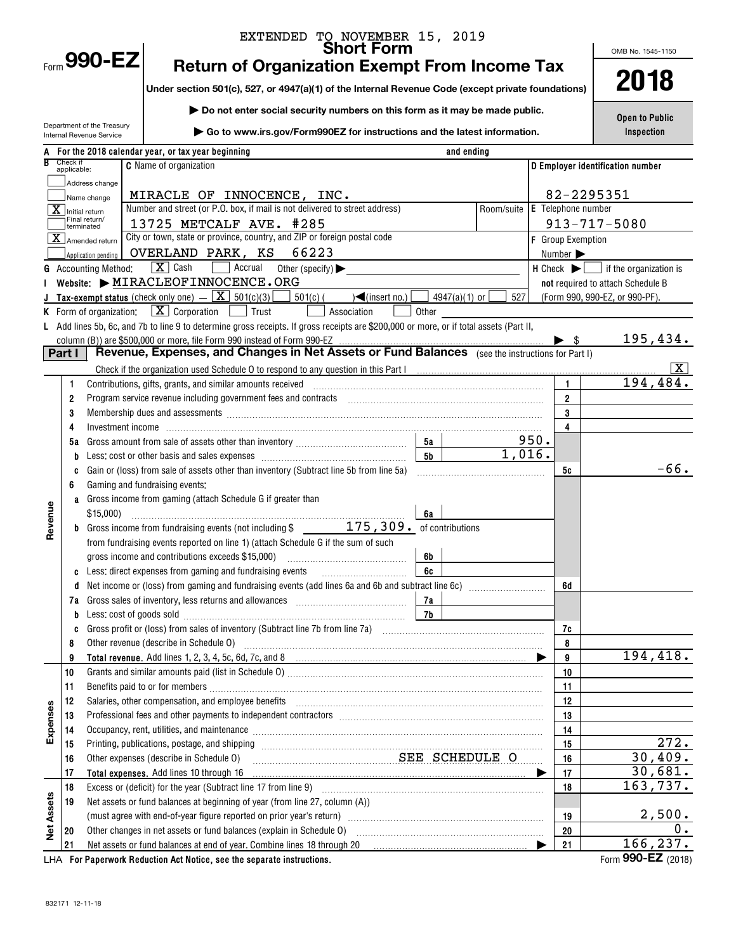|                                                                   |                                  |                                                                                                    | EXTENDED TO NOVEMBER 15, 2019                                                                                                                                                                                                        |                |                                |      |                                                          |                                                                       |  |  |  |
|-------------------------------------------------------------------|----------------------------------|----------------------------------------------------------------------------------------------------|--------------------------------------------------------------------------------------------------------------------------------------------------------------------------------------------------------------------------------------|----------------|--------------------------------|------|----------------------------------------------------------|-----------------------------------------------------------------------|--|--|--|
|                                                                   |                                  | $F_{\text{form}}$ 990-EZ                                                                           | <b>Return of Organization Exempt From Income Tax</b>                                                                                                                                                                                 |                |                                |      | OMB No. 1545-1150                                        |                                                                       |  |  |  |
|                                                                   |                                  |                                                                                                    |                                                                                                                                                                                                                                      | 2018           |                                |      |                                                          |                                                                       |  |  |  |
|                                                                   |                                  | Under section 501(c), 527, or 4947(a)(1) of the Internal Revenue Code (except private foundations) |                                                                                                                                                                                                                                      |                |                                |      |                                                          |                                                                       |  |  |  |
|                                                                   | <b>Open to Public</b>            |                                                                                                    |                                                                                                                                                                                                                                      |                |                                |      |                                                          |                                                                       |  |  |  |
| Department of the Treasury<br>Internal Revenue Service            | Inspection                       |                                                                                                    |                                                                                                                                                                                                                                      |                |                                |      |                                                          |                                                                       |  |  |  |
| A For the 2018 calendar year, or tax year beginning<br>and ending |                                  |                                                                                                    |                                                                                                                                                                                                                                      |                |                                |      |                                                          |                                                                       |  |  |  |
| Check if<br>applicable:                                           | D Employer identification number |                                                                                                    |                                                                                                                                                                                                                                      |                |                                |      |                                                          |                                                                       |  |  |  |
|                                                                   |                                  | Address change                                                                                     |                                                                                                                                                                                                                                      |                |                                |      |                                                          |                                                                       |  |  |  |
|                                                                   |                                  | Name change                                                                                        | MIRACLE OF INNOCENCE, INC.                                                                                                                                                                                                           |                |                                |      |                                                          | 82-2295351                                                            |  |  |  |
|                                                                   | X Initial return                 | Final return/                                                                                      | Number and street (or P.O. box, if mail is not delivered to street address)                                                                                                                                                          |                | Room/suite                     |      | <b>E</b> Telephone number                                |                                                                       |  |  |  |
|                                                                   |                                  | terminated                                                                                         | 13725 METCALF AVE. #285<br>City or town, state or province, country, and ZIP or foreign postal code                                                                                                                                  |                |                                |      |                                                          | $913 - 717 - 5080$                                                    |  |  |  |
|                                                                   |                                  | $\overline{\mathbf{X}}$ Amended return                                                             | OVERLAND PARK, KS 66223                                                                                                                                                                                                              |                |                                |      | <b>F</b> Group Exemption<br>Number $\blacktriangleright$ |                                                                       |  |  |  |
|                                                                   |                                  | Application pending<br><b>G</b> Accounting Method:                                                 | $\boxed{\mathbf{X}}$ Cash<br>Accrual Other (specify) <b>Desiminal COV</b>                                                                                                                                                            |                |                                |      |                                                          | $H$ Check $\blacktriangleright$ $\blacksquare$ if the organization is |  |  |  |
|                                                                   |                                  |                                                                                                    | Website: MIRACLEOFINNOCENCE.ORG                                                                                                                                                                                                      |                |                                |      |                                                          | not required to attach Schedule B                                     |  |  |  |
|                                                                   |                                  |                                                                                                    | <b>Tax-exempt status</b> (check only one) $ \boxed{\mathbf{X}}$ 501(c)(3)<br>$501(c)$ (<br>$\left  \bigtriangleup$ (insert no.)                                                                                                      |                | 527<br>4947(a)(1) or $\lfloor$ |      |                                                          | (Form 990, 990-EZ, or 990-PF).                                        |  |  |  |
|                                                                   |                                  | K Form of organization:                                                                            | $\boxed{\mathbf{X}}$ Corporation<br>$\boxed{\phantom{1}}$ Trust<br>Association                                                                                                                                                       | Other          |                                |      |                                                          |                                                                       |  |  |  |
|                                                                   |                                  |                                                                                                    | L Add lines 5b, 6c, and 7b to line 9 to determine gross receipts. If gross receipts are \$200,000 or more, or if total assets (Part II,                                                                                              |                |                                |      |                                                          |                                                                       |  |  |  |
|                                                                   |                                  |                                                                                                    | column (B)) are \$500,000 or more, file Form 990 instead of Form 990-EZ                                                                                                                                                              |                |                                |      | $\blacktriangleright$ \$                                 | 195,434.                                                              |  |  |  |
|                                                                   | Part I                           |                                                                                                    | Revenue, Expenses, and Changes in Net Assets or Fund Balances (see the instructions for Part I)                                                                                                                                      |                |                                |      |                                                          |                                                                       |  |  |  |
|                                                                   |                                  |                                                                                                    |                                                                                                                                                                                                                                      |                |                                |      |                                                          |                                                                       |  |  |  |
|                                                                   | 1.                               |                                                                                                    |                                                                                                                                                                                                                                      |                |                                |      | $\mathbf{1}$                                             | 194,484.                                                              |  |  |  |
|                                                                   | 2                                |                                                                                                    | Program service revenue including government fees and contracts [11] [11] non-manufacture revenues manufacture                                                                                                                       |                |                                |      | $\overline{2}$                                           |                                                                       |  |  |  |
|                                                                   | 3                                |                                                                                                    |                                                                                                                                                                                                                                      |                |                                |      | $\mathbf{3}$<br>$\overline{4}$                           |                                                                       |  |  |  |
|                                                                   | 4<br>5а                          |                                                                                                    |                                                                                                                                                                                                                                      | 5а             |                                | 950. |                                                          |                                                                       |  |  |  |
|                                                                   |                                  |                                                                                                    |                                                                                                                                                                                                                                      | 5 <sub>b</sub> | 1,016.                         |      |                                                          |                                                                       |  |  |  |
|                                                                   |                                  |                                                                                                    | Gain or (loss) from sale of assets other than inventory (Subtract line 5b from line 5a)                                                                                                                                              |                |                                |      | 5c                                                       | $-66.$                                                                |  |  |  |
|                                                                   | 6                                |                                                                                                    | Gaming and fundraising events:                                                                                                                                                                                                       |                |                                |      |                                                          |                                                                       |  |  |  |
|                                                                   |                                  |                                                                                                    | a Gross income from gaming (attach Schedule G if greater than                                                                                                                                                                        |                |                                |      |                                                          |                                                                       |  |  |  |
|                                                                   |                                  | \$15,000                                                                                           |                                                                                                                                                                                                                                      | 6а             |                                |      |                                                          |                                                                       |  |  |  |
| Revenue                                                           |                                  |                                                                                                    | <b>b</b> Gross income from fundraising events (not including $\frac{175}{175}$ , 309. of contributions                                                                                                                               |                |                                |      |                                                          |                                                                       |  |  |  |
|                                                                   |                                  |                                                                                                    | from fundraising events reported on line 1) (attach Schedule G if the sum of such                                                                                                                                                    |                |                                |      |                                                          |                                                                       |  |  |  |
|                                                                   |                                  |                                                                                                    |                                                                                                                                                                                                                                      | 6b             |                                |      |                                                          |                                                                       |  |  |  |
|                                                                   |                                  |                                                                                                    | <b>c</b> Less: direct expenses from gaming and fundraising events                                                                                                                                                                    | 6с             |                                |      |                                                          |                                                                       |  |  |  |
|                                                                   | d                                |                                                                                                    | Net income or (loss) from gaming and fundraising events (add lines 6a and 6b and subtract line 6c) [[[[[[[[[[                                                                                                                        |                |                                |      | 6d                                                       |                                                                       |  |  |  |
|                                                                   | b                                |                                                                                                    | Less: cost of goods sold with an array and a series of the solution of the solution of the series of the serie                                                                                                                       | 7а<br>7b       |                                |      |                                                          |                                                                       |  |  |  |
|                                                                   | c                                |                                                                                                    |                                                                                                                                                                                                                                      |                |                                |      | 7c                                                       |                                                                       |  |  |  |
|                                                                   | 8                                |                                                                                                    | Other revenue (describe in Schedule O) <i>manual contract contract contract contract contract contract contract contract contract contract contract contract contract contract contract contract contract contract contract cont</i> |                |                                |      | 8                                                        |                                                                       |  |  |  |
|                                                                   | 9                                |                                                                                                    |                                                                                                                                                                                                                                      |                |                                |      | 9                                                        | 194,418.                                                              |  |  |  |
|                                                                   | 10                               |                                                                                                    |                                                                                                                                                                                                                                      |                |                                |      | 10                                                       |                                                                       |  |  |  |
|                                                                   | 11                               |                                                                                                    |                                                                                                                                                                                                                                      |                |                                |      | 11                                                       |                                                                       |  |  |  |
|                                                                   | 12                               |                                                                                                    | Salaries, other compensation, and employee benefits [11] manufactured and controller and controller and employee benefits [11] manufactured and employee benefits [11] manufactured and employee benefits [11] manufactured an       |                |                                |      | 12                                                       |                                                                       |  |  |  |
| Expenses                                                          | 13                               |                                                                                                    |                                                                                                                                                                                                                                      |                |                                |      | 13                                                       |                                                                       |  |  |  |
|                                                                   | 14                               |                                                                                                    | Occupancy, rent, utilities, and maintenance material contains and contained a state of the state of the state of the state of the state of the state of the state of the state of the state of the state of the state of the s       |                |                                |      | 14                                                       |                                                                       |  |  |  |
|                                                                   | 15                               |                                                                                                    |                                                                                                                                                                                                                                      |                |                                |      | 15                                                       | $2\overline{72}$ .                                                    |  |  |  |
|                                                                   | 16<br>17                         |                                                                                                    | SEE SCHEDULE O<br>Other expenses (describe in Schedule O)                                                                                                                                                                            |                |                                |      | 16<br>17                                                 | 30,409.<br>30,681.                                                    |  |  |  |
|                                                                   | 18                               |                                                                                                    | Total expenses. Add lines 10 through 16                                                                                                                                                                                              |                |                                |      | 18                                                       | 163,737.                                                              |  |  |  |
|                                                                   | 19                               |                                                                                                    | Net assets or fund balances at beginning of year (from line 27, column (A))                                                                                                                                                          |                |                                |      |                                                          |                                                                       |  |  |  |
|                                                                   |                                  |                                                                                                    | (must agree with end-of-year figure reported on prior year's return) [[[[[[[[[[[[[[[[[[[[]]]]]]]]]]]                                                                                                                                 |                |                                |      | 19                                                       | 2,500.                                                                |  |  |  |
| <b>Net Assets</b>                                                 | 20                               |                                                                                                    |                                                                                                                                                                                                                                      |                |                                |      | 20                                                       | 0.                                                                    |  |  |  |
|                                                                   | 21                               |                                                                                                    | Net assets or fund balances at end of year. Combine lines 18 through 20                                                                                                                                                              |                |                                |      | 21                                                       | 166, 237.                                                             |  |  |  |
|                                                                   |                                  |                                                                                                    | work Reduction Act Notice, eac the concrete instructions                                                                                                                                                                             |                |                                |      |                                                          | $F_{\text{arm}}$ QQO_FZ $(2019)$                                      |  |  |  |

LHA For Paperwork Reduction Act Notice, see the separate instructions. Form 990-**L**Z (2018)

**Form 990-EZ** (2018)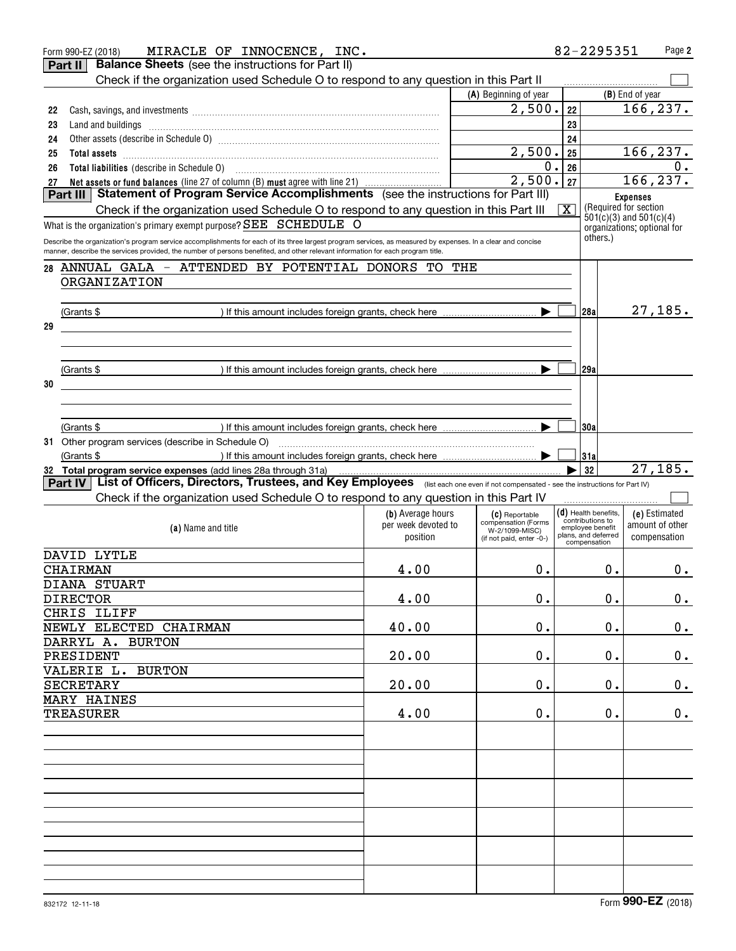| MIRACLE OF INNOCENCE, INC.<br>Form 990-EZ (2018)                                                                                                                                                                                                                                               |                     |                                       | 82-2295351                           | Page 2                                               |
|------------------------------------------------------------------------------------------------------------------------------------------------------------------------------------------------------------------------------------------------------------------------------------------------|---------------------|---------------------------------------|--------------------------------------|------------------------------------------------------|
| <b>Balance Sheets</b> (see the instructions for Part II)<br>Part II                                                                                                                                                                                                                            |                     |                                       |                                      |                                                      |
| Check if the organization used Schedule O to respond to any question in this Part II                                                                                                                                                                                                           |                     |                                       |                                      |                                                      |
|                                                                                                                                                                                                                                                                                                |                     | (A) Beginning of year                 |                                      | (B) End of year                                      |
| 22                                                                                                                                                                                                                                                                                             |                     | 2,500.                                | 22                                   | 166, 237.                                            |
| 23                                                                                                                                                                                                                                                                                             |                     |                                       | 23                                   |                                                      |
| 24                                                                                                                                                                                                                                                                                             |                     |                                       | 24                                   |                                                      |
| 25                                                                                                                                                                                                                                                                                             |                     | 2,500.                                | 25                                   | 166, 237.                                            |
| 26                                                                                                                                                                                                                                                                                             |                     | 0.                                    | 26                                   |                                                      |
| Net assets or fund balances (line 27 of column (B) must agree with line 21)<br>27                                                                                                                                                                                                              |                     | $\overline{2,500.}$ 27                |                                      | 166, 237.                                            |
| Statement of Program Service Accomplishments (see the instructions for Part III)<br>Part III                                                                                                                                                                                                   |                     |                                       |                                      | <b>Expenses</b>                                      |
| Check if the organization used Schedule O to respond to any question in this Part III                                                                                                                                                                                                          |                     |                                       | $\overline{\mathbf{x}}$              | (Required for section<br>$501(c)(3)$ and $501(c)(4)$ |
| What is the organization's primary exempt purpose? SEE SCHEDULE O                                                                                                                                                                                                                              |                     |                                       |                                      | organizations; optional for                          |
| Describe the organization's program service accomplishments for each of its three largest program services, as measured by expenses. In a clear and concise<br>manner, describe the services provided, the number of persons benefited, and other relevant information for each program title. |                     |                                       | others.)                             |                                                      |
| 28 ANNUAL GALA - ATTENDED BY POTENTIAL DONORS                                                                                                                                                                                                                                                  | TO THE              |                                       |                                      |                                                      |
| ORGANIZATION                                                                                                                                                                                                                                                                                   |                     |                                       |                                      |                                                      |
|                                                                                                                                                                                                                                                                                                |                     |                                       |                                      |                                                      |
| (Grants \$                                                                                                                                                                                                                                                                                     |                     |                                       | 28a                                  | 27,185.                                              |
| 29                                                                                                                                                                                                                                                                                             |                     |                                       |                                      |                                                      |
|                                                                                                                                                                                                                                                                                                |                     |                                       |                                      |                                                      |
|                                                                                                                                                                                                                                                                                                |                     |                                       |                                      |                                                      |
| (Grants \$                                                                                                                                                                                                                                                                                     |                     |                                       | 29a                                  |                                                      |
| 30                                                                                                                                                                                                                                                                                             |                     |                                       |                                      |                                                      |
|                                                                                                                                                                                                                                                                                                |                     |                                       |                                      |                                                      |
|                                                                                                                                                                                                                                                                                                |                     |                                       |                                      |                                                      |
| (Grants \$                                                                                                                                                                                                                                                                                     |                     |                                       | 30a                                  |                                                      |
| 31 Other program services (describe in Schedule O)                                                                                                                                                                                                                                             |                     |                                       |                                      |                                                      |
| (Grants \$                                                                                                                                                                                                                                                                                     |                     |                                       | 31a                                  |                                                      |
| 32 Total program service expenses (add lines 28a through 31a)                                                                                                                                                                                                                                  |                     |                                       | 32                                   | 27, 185.                                             |
| <b>Part IV List of Officers, Directors, Trustees, and Key Employees</b> (list each one even if not compensated - see the instructions for Part IV)                                                                                                                                             |                     |                                       |                                      |                                                      |
| Check if the organization used Schedule O to respond to any question in this Part IV                                                                                                                                                                                                           |                     |                                       |                                      |                                                      |
|                                                                                                                                                                                                                                                                                                | (b) Average hours   | (C) Reportable                        | $(d)$ Health benefits,               | (e) Estimated                                        |
| (a) Name and title                                                                                                                                                                                                                                                                             | per week devoted to | compensation (Forms<br>W-2/1099-MISC) | contributions to<br>employee benefit | amount of other                                      |
|                                                                                                                                                                                                                                                                                                | position            | (if not paid, enter -0-)              | plans, and deferred<br>compensation  | compensation                                         |
| DAVID LYTLE                                                                                                                                                                                                                                                                                    |                     |                                       |                                      |                                                      |
| <b>CHAIRMAN</b>                                                                                                                                                                                                                                                                                | 4.00                | 0.                                    |                                      | 0.<br>0.                                             |
| <b>DIANA STUART</b>                                                                                                                                                                                                                                                                            |                     |                                       |                                      |                                                      |
| <b>DIRECTOR</b>                                                                                                                                                                                                                                                                                | 4.00                | 0.                                    |                                      | 0.<br>0.                                             |
| CHRIS ILIFF                                                                                                                                                                                                                                                                                    |                     |                                       |                                      |                                                      |
| NEWLY ELECTED CHAIRMAN                                                                                                                                                                                                                                                                         | 40.00               | 0.                                    |                                      | 0.<br>$0$ .                                          |
| DARRYL A. BURTON                                                                                                                                                                                                                                                                               |                     |                                       |                                      |                                                      |
| PRESIDENT                                                                                                                                                                                                                                                                                      | 20.00               | 0.                                    |                                      | 0.<br>0.                                             |
| VALERIE L. BURTON                                                                                                                                                                                                                                                                              |                     |                                       |                                      |                                                      |
| <b>SECRETARY</b>                                                                                                                                                                                                                                                                               | 20.00               | 0.                                    |                                      | 0.<br>$0$ .                                          |
| <b>MARY HAINES</b>                                                                                                                                                                                                                                                                             |                     |                                       |                                      |                                                      |
| <b>TREASURER</b>                                                                                                                                                                                                                                                                               | 4.00                | 0.                                    |                                      | 0.<br>$0$ .                                          |
|                                                                                                                                                                                                                                                                                                |                     |                                       |                                      |                                                      |
|                                                                                                                                                                                                                                                                                                |                     |                                       |                                      |                                                      |
|                                                                                                                                                                                                                                                                                                |                     |                                       |                                      |                                                      |
|                                                                                                                                                                                                                                                                                                |                     |                                       |                                      |                                                      |
|                                                                                                                                                                                                                                                                                                |                     |                                       |                                      |                                                      |
|                                                                                                                                                                                                                                                                                                |                     |                                       |                                      |                                                      |
|                                                                                                                                                                                                                                                                                                |                     |                                       |                                      |                                                      |
|                                                                                                                                                                                                                                                                                                |                     |                                       |                                      |                                                      |
|                                                                                                                                                                                                                                                                                                |                     |                                       |                                      |                                                      |
|                                                                                                                                                                                                                                                                                                |                     |                                       |                                      |                                                      |
|                                                                                                                                                                                                                                                                                                |                     |                                       |                                      |                                                      |
|                                                                                                                                                                                                                                                                                                |                     |                                       |                                      |                                                      |
|                                                                                                                                                                                                                                                                                                |                     |                                       |                                      |                                                      |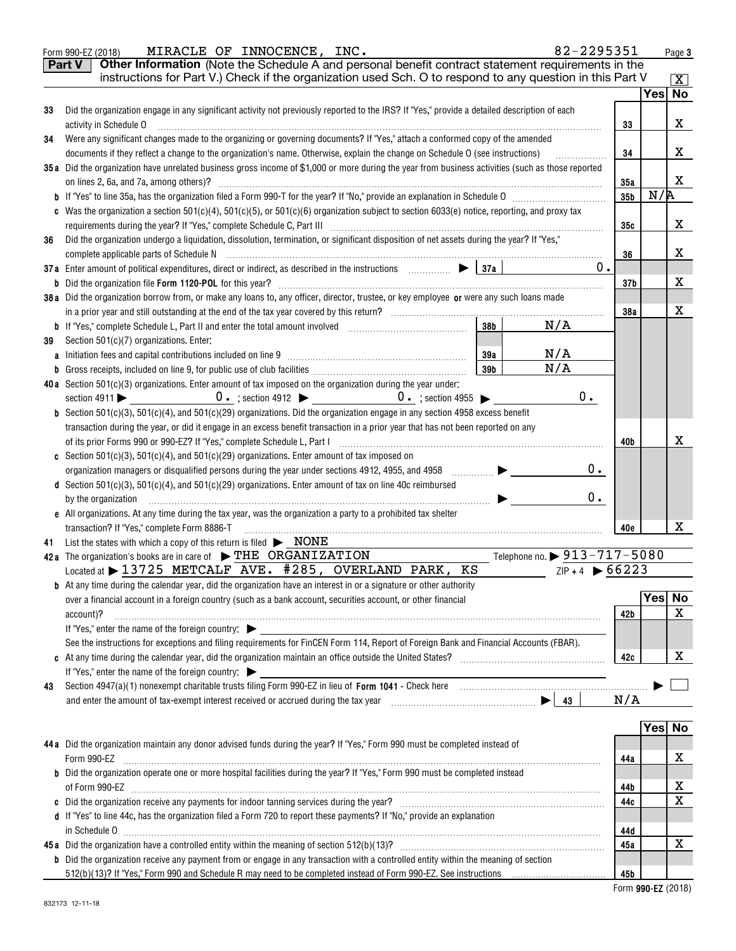|    | 82-2295351<br>MIRACLE OF INNOCENCE, INC.<br>Form 990-EZ (2018)                                                                                                                                                                 |                 |        | Page 3                  |
|----|--------------------------------------------------------------------------------------------------------------------------------------------------------------------------------------------------------------------------------|-----------------|--------|-------------------------|
|    | Other Information (Note the Schedule A and personal benefit contract statement requirements in the<br><b>Part V</b>                                                                                                            |                 |        |                         |
|    | instructions for Part V.) Check if the organization used Sch. O to respond to any question in this Part V                                                                                                                      |                 |        | $\overline{\mathbf{X}}$ |
|    |                                                                                                                                                                                                                                |                 | Yes No |                         |
| 33 | Did the organization engage in any significant activity not previously reported to the IRS? If "Yes," provide a detailed description of each                                                                                   |                 |        |                         |
|    | activity in Schedule O                                                                                                                                                                                                         | 33              |        | х                       |
| 34 | Were any significant changes made to the organizing or governing documents? If "Yes," attach a conformed copy of the amended                                                                                                   |                 |        |                         |
|    | documents if they reflect a change to the organization's name. Otherwise, explain the change on Schedule O (see instructions)                                                                                                  | 34              |        | х                       |
|    | 35a Did the organization have unrelated business gross income of \$1,000 or more during the year from business activities (such as those reported                                                                              |                 |        |                         |
|    | on lines 2, 6a, and 7a, among others)?                                                                                                                                                                                         | 35a             |        | X                       |
|    |                                                                                                                                                                                                                                | 35 <sub>b</sub> | N/R    |                         |
|    | Was the organization a section $501(c)(4)$ , $501(c)(5)$ , or $501(c)(6)$ organization subject to section $6033(e)$ notice, reporting, and proxy tax                                                                           | 35c             |        | х                       |
| 36 | Did the organization undergo a liquidation, dissolution, termination, or significant disposition of net assets during the year? If "Yes,"                                                                                      |                 |        |                         |
|    |                                                                                                                                                                                                                                | 36              |        | х                       |
|    | $0$ .<br>37a Enter amount of political expenditures, direct or indirect, as described in the instructions $\Box$ $\Box$ $\Box$                                                                                                 |                 |        |                         |
|    |                                                                                                                                                                                                                                | 37 <sub>b</sub> |        | x                       |
|    | 38a Did the organization borrow from, or make any loans to, any officer, director, trustee, or key employee or were any such loans made                                                                                        |                 |        |                         |
|    |                                                                                                                                                                                                                                | 38a             |        | x                       |
|    | N/A<br>38 <sub>b</sub>                                                                                                                                                                                                         |                 |        |                         |
| 39 | Section 501(c)(7) organizations. Enter:                                                                                                                                                                                        |                 |        |                         |
|    | N/A<br>39a<br>a Initiation fees and capital contributions included on line 9                                                                                                                                                   |                 |        |                         |
| b  | N/A<br>39 <sub>b</sub>                                                                                                                                                                                                         |                 |        |                         |
|    | 40a Section 501(c)(3) organizations. Enter amount of tax imposed on the organization during the year under:                                                                                                                    |                 |        |                         |
|    | $0$ .                                                                                                                                                                                                                          |                 |        |                         |
|    | Section 501(c)(3), 501(c)(4), and 501(c)(29) organizations. Did the organization engage in any section 4958 excess benefit                                                                                                     |                 |        |                         |
|    | transaction during the year, or did it engage in an excess benefit transaction in a prior year that has not been reported on any                                                                                               |                 |        |                         |
|    | of its prior Forms 990 or 990-EZ? If "Yes," complete Schedule L, Part I [1] [1] [1] [1] [1] [1] [1] [1] [1] [1                                                                                                                 | 40b             |        | х                       |
|    | c Section 501(c)(3), 501(c)(4), and 501(c)(29) organizations. Enter amount of tax imposed on                                                                                                                                   |                 |        |                         |
|    | 0.<br>organization managers or disqualified persons during the year under sections 4912, 4955, and 4958 $\ldots$                                                                                                               |                 |        |                         |
|    | d Section 501(c)(3), 501(c)(4), and 501(c)(29) organizations. Enter amount of tax on line 40c reimbursed                                                                                                                       |                 |        |                         |
|    | 0.<br>by the organization                                                                                                                                                                                                      |                 |        |                         |
|    | e All organizations. At any time during the tax year, was the organization a party to a prohibited tax shelter<br>transaction? If "Yes," complete Form 8886-T                                                                  | 40e             |        | x                       |
| 41 | List the states with which a copy of this return is filed $\triangleright$ <b>NONE</b>                                                                                                                                         |                 |        |                         |
|    | 42a The organization's books are in care of $\blacktriangleright$ THE ORGANIZATION<br>Telephone no. > 913-717-5080                                                                                                             |                 |        |                         |
|    | $ZIP + 4$ 66223<br>Located at > 13725 METCALF AVE. #285, OVERLAND PARK, KS                                                                                                                                                     |                 |        |                         |
|    | <b>b</b> At any time during the calendar year, did the organization have an interest in or a signature or other authority                                                                                                      |                 |        |                         |
|    | over a financial account in a foreign country (such as a bank account, securities account, or other financial                                                                                                                  |                 | Yes    | <b>No</b>               |
|    | account)?                                                                                                                                                                                                                      | 42 b            |        | х                       |
|    | If "Yes," enter the name of the foreign country: $\blacktriangleright$                                                                                                                                                         |                 |        |                         |
|    | See the instructions for exceptions and filing requirements for FinCEN Form 114, Report of Foreign Bank and Financial Accounts (FBAR).                                                                                         |                 |        |                         |
|    |                                                                                                                                                                                                                                | 42c             |        | х                       |
|    | If "Yes," enter the name of the foreign country: $\blacktriangleright$                                                                                                                                                         |                 |        |                         |
| 43 |                                                                                                                                                                                                                                |                 |        |                         |
|    |                                                                                                                                                                                                                                | N/A             |        |                         |
|    |                                                                                                                                                                                                                                |                 |        |                         |
|    |                                                                                                                                                                                                                                |                 | Yes No |                         |
|    | 44a Did the organization maintain any donor advised funds during the year? If "Yes," Form 990 must be completed instead of                                                                                                     |                 |        |                         |
|    | Form 990-EZ<br>b Did the organization operate one or more hospital facilities during the year? If "Yes," Form 990 must be completed instead                                                                                    | 44a             |        | x                       |
|    |                                                                                                                                                                                                                                |                 |        | х                       |
|    |                                                                                                                                                                                                                                | 44b<br>44c      |        | Х                       |
|    | d If "Yes" to line 44c, has the organization filed a Form 720 to report these payments? If "No," provide an explanation                                                                                                        |                 |        |                         |
|    |                                                                                                                                                                                                                                | 44d             |        |                         |
|    |                                                                                                                                                                                                                                | 45a             |        | X                       |
|    | <b>b</b> Did the organization receive any payment from or engage in any transaction with a controlled entity within the meaning of section                                                                                     |                 |        |                         |
|    | 512(b)(13)? If "Yes," Form 990 and Schedule R may need to be completed instead of Form 990-EZ. See instructions [11][11][12] 15: [13] 15: [13] 15: [13] 15: [13] 15: [13] 15: [13] 15: [13] 15: [13] 15: [13] 15: [13] 15: [13 | 45b             |        |                         |
|    |                                                                                                                                                                                                                                |                 |        |                         |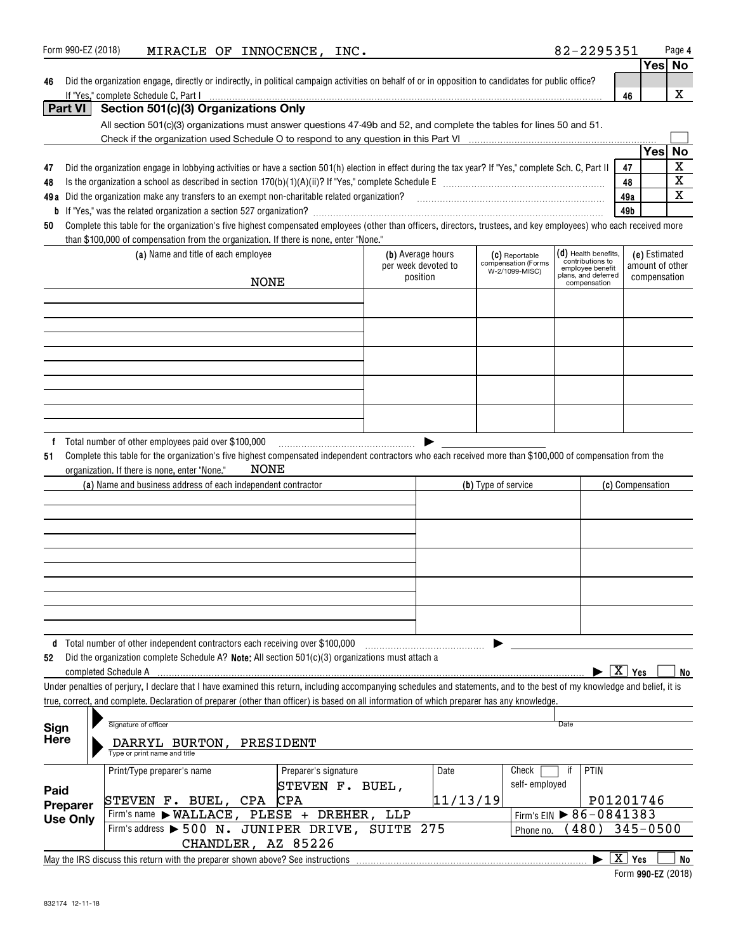|                 | בט שפגעובי                                                                                                                                                                                              | $\text{Fmm}$         |                                 |          |                                       |                                          |                        | <b>Yes</b>                      | uyv i<br>No |
|-----------------|---------------------------------------------------------------------------------------------------------------------------------------------------------------------------------------------------------|----------------------|---------------------------------|----------|---------------------------------------|------------------------------------------|------------------------|---------------------------------|-------------|
| 46              | Did the organization engage, directly or indirectly, in political campaign activities on behalf of or in opposition to candidates for public office?                                                    |                      |                                 |          |                                       |                                          |                        |                                 |             |
|                 | If "Yes," complete Schedule C, Part I                                                                                                                                                                   |                      |                                 |          |                                       |                                          | 46                     |                                 | X           |
| Part VI         | Section 501(c)(3) Organizations Only                                                                                                                                                                    |                      |                                 |          |                                       |                                          |                        |                                 |             |
|                 | All section 501(c)(3) organizations must answer questions 47-49b and 52, and complete the tables for lines 50 and 51.                                                                                   |                      |                                 |          |                                       |                                          |                        |                                 |             |
|                 |                                                                                                                                                                                                         |                      |                                 |          |                                       |                                          |                        |                                 |             |
|                 |                                                                                                                                                                                                         |                      |                                 |          |                                       |                                          |                        | <b>Yes</b>                      | No          |
|                 | Did the organization engage in lobbying activities or have a section 501(h) election in effect during the tax year? If "Yes," complete Sch. C, Part II                                                  |                      |                                 |          |                                       |                                          | 47                     |                                 | $\mathbf X$ |
| 47              |                                                                                                                                                                                                         |                      |                                 |          |                                       |                                          |                        |                                 | $\mathbf X$ |
| 48              |                                                                                                                                                                                                         |                      |                                 |          |                                       |                                          | 48                     |                                 | $\mathbf X$ |
|                 | 49a Did the organization make any transfers to an exempt non-charitable related organization?<br>2010 marrow material organization make any transfers to an exempt non-charitable related organization? |                      |                                 |          |                                       |                                          | 49a                    |                                 |             |
|                 |                                                                                                                                                                                                         |                      |                                 |          |                                       |                                          | 49b                    |                                 |             |
| 50              | Complete this table for the organization's five highest compensated employees (other than officers, directors, trustees, and key employees) who each received more                                      |                      |                                 |          |                                       |                                          |                        |                                 |             |
|                 | than \$100,000 of compensation from the organization. If there is none, enter "None."                                                                                                                   |                      |                                 |          |                                       |                                          |                        |                                 |             |
|                 | (a) Name and title of each employee                                                                                                                                                                     |                      | (b) Average hours               |          | (C) Reportable<br>compensation (Forms | (d) Health benefits,<br>contributions to |                        | (e) Estimated                   |             |
|                 |                                                                                                                                                                                                         |                      | per week devoted to<br>position |          | W-2/1099-MISC)                        | employee benefit<br>plans, and deferred  |                        | amount of other<br>compensation |             |
|                 | <b>NONE</b>                                                                                                                                                                                             |                      |                                 |          |                                       | compensation                             |                        |                                 |             |
|                 |                                                                                                                                                                                                         |                      |                                 |          |                                       |                                          |                        |                                 |             |
|                 |                                                                                                                                                                                                         |                      |                                 |          |                                       |                                          |                        |                                 |             |
|                 |                                                                                                                                                                                                         |                      |                                 |          |                                       |                                          |                        |                                 |             |
|                 |                                                                                                                                                                                                         |                      |                                 |          |                                       |                                          |                        |                                 |             |
|                 |                                                                                                                                                                                                         |                      |                                 |          |                                       |                                          |                        |                                 |             |
|                 |                                                                                                                                                                                                         |                      |                                 |          |                                       |                                          |                        |                                 |             |
|                 |                                                                                                                                                                                                         |                      |                                 |          |                                       |                                          |                        |                                 |             |
|                 |                                                                                                                                                                                                         |                      |                                 |          |                                       |                                          |                        |                                 |             |
|                 |                                                                                                                                                                                                         |                      |                                 |          |                                       |                                          |                        |                                 |             |
|                 |                                                                                                                                                                                                         |                      |                                 |          |                                       |                                          |                        |                                 |             |
|                 |                                                                                                                                                                                                         |                      |                                 |          |                                       |                                          |                        |                                 |             |
|                 | <b>NONE</b><br>organization. If there is none, enter "None."<br>(a) Name and business address of each independent contractor                                                                            |                      |                                 |          | (b) Type of service                   |                                          | (c) Compensation       |                                 |             |
|                 |                                                                                                                                                                                                         |                      |                                 |          |                                       |                                          |                        |                                 |             |
|                 |                                                                                                                                                                                                         |                      |                                 |          |                                       |                                          |                        |                                 |             |
|                 |                                                                                                                                                                                                         |                      |                                 |          |                                       |                                          |                        |                                 |             |
|                 |                                                                                                                                                                                                         |                      |                                 |          |                                       |                                          |                        |                                 |             |
|                 |                                                                                                                                                                                                         |                      |                                 |          |                                       |                                          |                        |                                 |             |
|                 |                                                                                                                                                                                                         |                      |                                 |          |                                       |                                          |                        |                                 |             |
|                 |                                                                                                                                                                                                         |                      |                                 |          |                                       |                                          |                        |                                 |             |
|                 |                                                                                                                                                                                                         |                      |                                 |          |                                       |                                          |                        |                                 |             |
|                 |                                                                                                                                                                                                         |                      |                                 |          |                                       |                                          |                        |                                 |             |
|                 |                                                                                                                                                                                                         |                      |                                 |          |                                       |                                          |                        |                                 |             |
|                 | d Total number of other independent contractors each receiving over \$100,000                                                                                                                           |                      |                                 |          |                                       |                                          |                        |                                 |             |
| 52              | Did the organization complete Schedule A? Note: All section $501(c)(3)$ organizations must attach a                                                                                                     |                      |                                 |          |                                       |                                          |                        |                                 |             |
|                 | completed Schedule A                                                                                                                                                                                    |                      |                                 |          |                                       |                                          | $\boxed{X}$ Yes        |                                 | No          |
|                 | Under penalties of perjury, I declare that I have examined this return, including accompanying schedules and statements, and to the best of my knowledge and belief, it is                              |                      |                                 |          |                                       |                                          |                        |                                 |             |
|                 | true, correct, and complete. Declaration of preparer (other than officer) is based on all information of which preparer has any knowledge.                                                              |                      |                                 |          |                                       |                                          |                        |                                 |             |
|                 |                                                                                                                                                                                                         |                      |                                 |          |                                       |                                          |                        |                                 |             |
| Sign            | Signature of officer                                                                                                                                                                                    |                      |                                 |          |                                       | Date                                     |                        |                                 |             |
| <b>Here</b>     | DARRYL BURTON,                                                                                                                                                                                          | PRESIDENT            |                                 |          |                                       |                                          |                        |                                 |             |
|                 | Type or print name and title                                                                                                                                                                            |                      |                                 |          |                                       |                                          |                        |                                 |             |
|                 | Print/Type preparer's name                                                                                                                                                                              | Preparer's signature |                                 | Date     | Check                                 | PTIN<br>if                               |                        |                                 |             |
|                 |                                                                                                                                                                                                         |                      |                                 |          | self-employed                         |                                          |                        |                                 |             |
| Paid            |                                                                                                                                                                                                         | STEVEN F. BUEL,      |                                 |          |                                       |                                          |                        |                                 |             |
| <b>Preparer</b> | STEVEN F. BUEL,<br><b>CPA</b>                                                                                                                                                                           | CPA                  |                                 | 11/13/19 |                                       | P01201746                                |                        |                                 |             |
| <b>Use Only</b> | Firm's name > WALLACE, PLESE + DREHER,                                                                                                                                                                  |                      | LLP                             |          |                                       | Firm's EIN $\triangleright$ 86-0841383   |                        |                                 |             |
|                 | Firm's address ▶ 500 N. JUNIPER DRIVE, SUITE 275                                                                                                                                                        |                      |                                 |          | Phone no.                             | 480)                                     | $345 - 0500$           |                                 |             |
|                 | CHANDLER, AZ 85226                                                                                                                                                                                      |                      |                                 |          |                                       |                                          |                        |                                 |             |
|                 | May the IRS discuss this return with the preparer shown above? See instructions                                                                                                                         |                      |                                 |          |                                       |                                          | $\boxed{\text{X}}$ Yes |                                 | No          |

| Form 990-EZ (2018) |  |
|--------------------|--|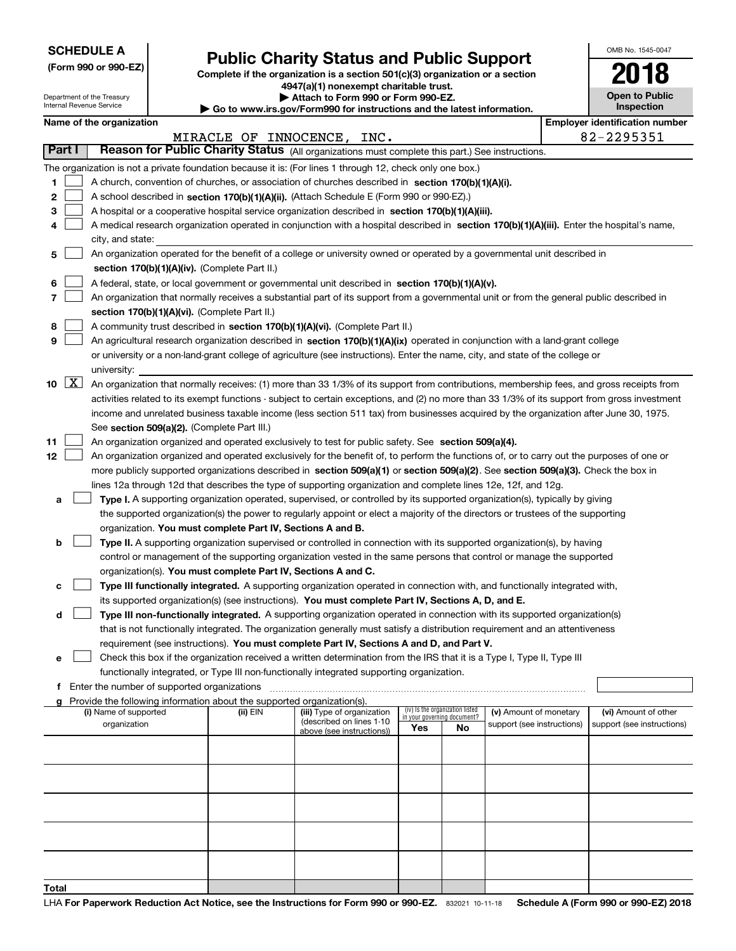Department of the Treasury Internal Revenue Service

**(Form 990 or 990-EZ)**

# **Public Charity Status and Public Support**

**Complete if the organization is a section 501(c)(3) organization or a section 4947(a)(1) nonexempt charitable trust.**

|  |  |  | Attach to Form 990 or Form 990-EZ. |  |
|--|--|--|------------------------------------|--|
|  |  |  |                                    |  |

**| Go to www.irs.gov/Form990 for instructions and the latest information.**

| OMB No. 1545-0047                   |
|-------------------------------------|
| 2018                                |
| <b>Open to Public</b><br>Inspection |

|                                                                                                                                                          |                    | Name of the organization                                                                                                                                                                                                 |          |                                                       |                                                                |    |                            |  | <b>Employer identification number</b> |  |  |  |  |  |
|----------------------------------------------------------------------------------------------------------------------------------------------------------|--------------------|--------------------------------------------------------------------------------------------------------------------------------------------------------------------------------------------------------------------------|----------|-------------------------------------------------------|----------------------------------------------------------------|----|----------------------------|--|---------------------------------------|--|--|--|--|--|
| 82-2295351<br>MIRACLE OF INNOCENCE,<br>INC.<br>Part I<br>Reason for Public Charity Status (All organizations must complete this part.) See instructions. |                    |                                                                                                                                                                                                                          |          |                                                       |                                                                |    |                            |  |                                       |  |  |  |  |  |
|                                                                                                                                                          |                    |                                                                                                                                                                                                                          |          |                                                       |                                                                |    |                            |  |                                       |  |  |  |  |  |
|                                                                                                                                                          |                    | The organization is not a private foundation because it is: (For lines 1 through 12, check only one box.)                                                                                                                |          |                                                       |                                                                |    |                            |  |                                       |  |  |  |  |  |
| 1                                                                                                                                                        |                    | A church, convention of churches, or association of churches described in section 170(b)(1)(A)(i).                                                                                                                       |          |                                                       |                                                                |    |                            |  |                                       |  |  |  |  |  |
| 2                                                                                                                                                        |                    | A school described in section 170(b)(1)(A)(ii). (Attach Schedule E (Form 990 or 990-EZ).)                                                                                                                                |          |                                                       |                                                                |    |                            |  |                                       |  |  |  |  |  |
| 3                                                                                                                                                        |                    | A hospital or a cooperative hospital service organization described in section $170(b)(1)(A)(iii)$ .                                                                                                                     |          |                                                       |                                                                |    |                            |  |                                       |  |  |  |  |  |
|                                                                                                                                                          |                    | A medical research organization operated in conjunction with a hospital described in section 170(b)(1)(A)(iii). Enter the hospital's name,                                                                               |          |                                                       |                                                                |    |                            |  |                                       |  |  |  |  |  |
|                                                                                                                                                          |                    | city, and state:                                                                                                                                                                                                         |          |                                                       |                                                                |    |                            |  |                                       |  |  |  |  |  |
| 5                                                                                                                                                        |                    | An organization operated for the benefit of a college or university owned or operated by a governmental unit described in                                                                                                |          |                                                       |                                                                |    |                            |  |                                       |  |  |  |  |  |
|                                                                                                                                                          |                    | section 170(b)(1)(A)(iv). (Complete Part II.)                                                                                                                                                                            |          |                                                       |                                                                |    |                            |  |                                       |  |  |  |  |  |
| 6                                                                                                                                                        |                    | A federal, state, or local government or governmental unit described in section 170(b)(1)(A)(v).                                                                                                                         |          |                                                       |                                                                |    |                            |  |                                       |  |  |  |  |  |
| 7                                                                                                                                                        |                    | An organization that normally receives a substantial part of its support from a governmental unit or from the general public described in                                                                                |          |                                                       |                                                                |    |                            |  |                                       |  |  |  |  |  |
|                                                                                                                                                          |                    | section 170(b)(1)(A)(vi). (Complete Part II.)                                                                                                                                                                            |          |                                                       |                                                                |    |                            |  |                                       |  |  |  |  |  |
| 8                                                                                                                                                        |                    | A community trust described in section 170(b)(1)(A)(vi). (Complete Part II.)                                                                                                                                             |          |                                                       |                                                                |    |                            |  |                                       |  |  |  |  |  |
| 9                                                                                                                                                        |                    | An agricultural research organization described in section 170(b)(1)(A)(ix) operated in conjunction with a land-grant college                                                                                            |          |                                                       |                                                                |    |                            |  |                                       |  |  |  |  |  |
|                                                                                                                                                          |                    | or university or a non-land-grant college of agriculture (see instructions). Enter the name, city, and state of the college or                                                                                           |          |                                                       |                                                                |    |                            |  |                                       |  |  |  |  |  |
|                                                                                                                                                          |                    | university:                                                                                                                                                                                                              |          |                                                       |                                                                |    |                            |  |                                       |  |  |  |  |  |
| 10                                                                                                                                                       | $\boxed{\text{X}}$ | An organization that normally receives: (1) more than 33 1/3% of its support from contributions, membership fees, and gross receipts from                                                                                |          |                                                       |                                                                |    |                            |  |                                       |  |  |  |  |  |
|                                                                                                                                                          |                    | activities related to its exempt functions - subject to certain exceptions, and (2) no more than 33 1/3% of its support from gross investment                                                                            |          |                                                       |                                                                |    |                            |  |                                       |  |  |  |  |  |
|                                                                                                                                                          |                    | income and unrelated business taxable income (less section 511 tax) from businesses acquired by the organization after June 30, 1975.                                                                                    |          |                                                       |                                                                |    |                            |  |                                       |  |  |  |  |  |
|                                                                                                                                                          |                    | See section 509(a)(2). (Complete Part III.)                                                                                                                                                                              |          |                                                       |                                                                |    |                            |  |                                       |  |  |  |  |  |
| 11                                                                                                                                                       |                    | An organization organized and operated exclusively to test for public safety. See section 509(a)(4).                                                                                                                     |          |                                                       |                                                                |    |                            |  |                                       |  |  |  |  |  |
| 12                                                                                                                                                       |                    | An organization organized and operated exclusively for the benefit of, to perform the functions of, or to carry out the purposes of one or                                                                               |          |                                                       |                                                                |    |                            |  |                                       |  |  |  |  |  |
|                                                                                                                                                          |                    | more publicly supported organizations described in section 509(a)(1) or section 509(a)(2). See section 509(a)(3). Check the box in                                                                                       |          |                                                       |                                                                |    |                            |  |                                       |  |  |  |  |  |
|                                                                                                                                                          |                    | lines 12a through 12d that describes the type of supporting organization and complete lines 12e, 12f, and 12g.                                                                                                           |          |                                                       |                                                                |    |                            |  |                                       |  |  |  |  |  |
| a                                                                                                                                                        |                    | Type I. A supporting organization operated, supervised, or controlled by its supported organization(s), typically by giving                                                                                              |          |                                                       |                                                                |    |                            |  |                                       |  |  |  |  |  |
|                                                                                                                                                          |                    | the supported organization(s) the power to regularly appoint or elect a majority of the directors or trustees of the supporting                                                                                          |          |                                                       |                                                                |    |                            |  |                                       |  |  |  |  |  |
|                                                                                                                                                          |                    | organization. You must complete Part IV, Sections A and B.                                                                                                                                                               |          |                                                       |                                                                |    |                            |  |                                       |  |  |  |  |  |
| b                                                                                                                                                        |                    | Type II. A supporting organization supervised or controlled in connection with its supported organization(s), by having                                                                                                  |          |                                                       |                                                                |    |                            |  |                                       |  |  |  |  |  |
|                                                                                                                                                          |                    | control or management of the supporting organization vested in the same persons that control or manage the supported                                                                                                     |          |                                                       |                                                                |    |                            |  |                                       |  |  |  |  |  |
|                                                                                                                                                          |                    | organization(s). You must complete Part IV, Sections A and C.                                                                                                                                                            |          |                                                       |                                                                |    |                            |  |                                       |  |  |  |  |  |
| c                                                                                                                                                        |                    | Type III functionally integrated. A supporting organization operated in connection with, and functionally integrated with,                                                                                               |          |                                                       |                                                                |    |                            |  |                                       |  |  |  |  |  |
|                                                                                                                                                          |                    | its supported organization(s) (see instructions). You must complete Part IV, Sections A, D, and E.                                                                                                                       |          |                                                       |                                                                |    |                            |  |                                       |  |  |  |  |  |
| d                                                                                                                                                        |                    | Type III non-functionally integrated. A supporting organization operated in connection with its supported organization(s)                                                                                                |          |                                                       |                                                                |    |                            |  |                                       |  |  |  |  |  |
|                                                                                                                                                          |                    | that is not functionally integrated. The organization generally must satisfy a distribution requirement and an attentiveness<br>requirement (see instructions). You must complete Part IV, Sections A and D, and Part V. |          |                                                       |                                                                |    |                            |  |                                       |  |  |  |  |  |
|                                                                                                                                                          |                    | Check this box if the organization received a written determination from the IRS that it is a Type I, Type II, Type III                                                                                                  |          |                                                       |                                                                |    |                            |  |                                       |  |  |  |  |  |
|                                                                                                                                                          |                    | functionally integrated, or Type III non-functionally integrated supporting organization.                                                                                                                                |          |                                                       |                                                                |    |                            |  |                                       |  |  |  |  |  |
|                                                                                                                                                          |                    | f Enter the number of supported organizations                                                                                                                                                                            |          |                                                       |                                                                |    |                            |  |                                       |  |  |  |  |  |
|                                                                                                                                                          |                    | g Provide the following information about the supported organization(s).                                                                                                                                                 |          |                                                       |                                                                |    |                            |  |                                       |  |  |  |  |  |
|                                                                                                                                                          |                    | (i) Name of supported                                                                                                                                                                                                    | (ii) EIN | (iii) Type of organization                            | (iv) Is the organization listed<br>in your governing document? |    | (v) Amount of monetary     |  | (vi) Amount of other                  |  |  |  |  |  |
|                                                                                                                                                          |                    | organization                                                                                                                                                                                                             |          | (described on lines 1-10<br>above (see instructions)) | Yes                                                            | No | support (see instructions) |  | support (see instructions)            |  |  |  |  |  |
|                                                                                                                                                          |                    |                                                                                                                                                                                                                          |          |                                                       |                                                                |    |                            |  |                                       |  |  |  |  |  |
|                                                                                                                                                          |                    |                                                                                                                                                                                                                          |          |                                                       |                                                                |    |                            |  |                                       |  |  |  |  |  |
|                                                                                                                                                          |                    |                                                                                                                                                                                                                          |          |                                                       |                                                                |    |                            |  |                                       |  |  |  |  |  |
|                                                                                                                                                          |                    |                                                                                                                                                                                                                          |          |                                                       |                                                                |    |                            |  |                                       |  |  |  |  |  |
|                                                                                                                                                          |                    |                                                                                                                                                                                                                          |          |                                                       |                                                                |    |                            |  |                                       |  |  |  |  |  |
|                                                                                                                                                          |                    |                                                                                                                                                                                                                          |          |                                                       |                                                                |    |                            |  |                                       |  |  |  |  |  |
|                                                                                                                                                          |                    |                                                                                                                                                                                                                          |          |                                                       |                                                                |    |                            |  |                                       |  |  |  |  |  |
|                                                                                                                                                          |                    |                                                                                                                                                                                                                          |          |                                                       |                                                                |    |                            |  |                                       |  |  |  |  |  |
|                                                                                                                                                          |                    |                                                                                                                                                                                                                          |          |                                                       |                                                                |    |                            |  |                                       |  |  |  |  |  |
| <b>Total</b>                                                                                                                                             |                    |                                                                                                                                                                                                                          |          |                                                       |                                                                |    |                            |  |                                       |  |  |  |  |  |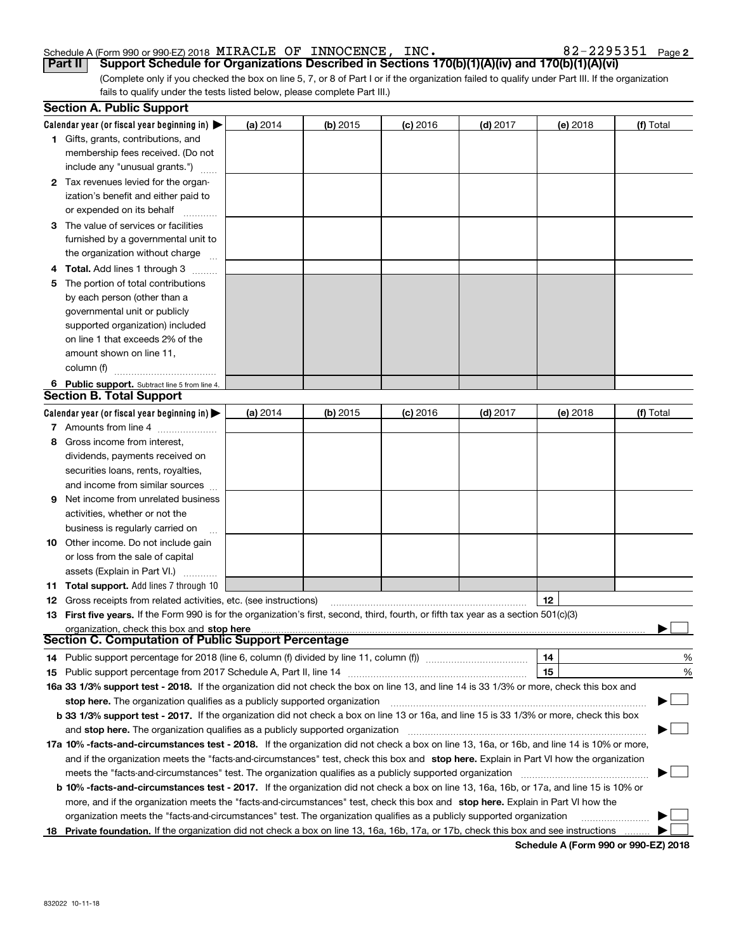### Schedule A (Form 990 or 990-EZ) 2018 Page MIRACLE OF INNOCENCE, INC. 82-2295351

**2**

(Complete only if you checked the box on line 5, 7, or 8 of Part I or if the organization failed to qualify under Part III. If the organization fails to qualify under the tests listed below, please complete Part III.) **Part II Support Schedule for Organizations Described in Sections 170(b)(1)(A)(iv) and 170(b)(1)(A)(vi)** 

|     | <b>Section A. Public Support</b>                                                                                                               |          |            |            |            |          |           |
|-----|------------------------------------------------------------------------------------------------------------------------------------------------|----------|------------|------------|------------|----------|-----------|
|     | Calendar year (or fiscal year beginning in) $\blacktriangleright$                                                                              | (a) 2014 | $(b)$ 2015 | $(c)$ 2016 | $(d)$ 2017 | (e) 2018 | (f) Total |
|     | <b>1</b> Gifts, grants, contributions, and                                                                                                     |          |            |            |            |          |           |
|     | membership fees received. (Do not                                                                                                              |          |            |            |            |          |           |
|     | include any "unusual grants.")                                                                                                                 |          |            |            |            |          |           |
|     | 2 Tax revenues levied for the organ-                                                                                                           |          |            |            |            |          |           |
|     | ization's benefit and either paid to                                                                                                           |          |            |            |            |          |           |
|     | or expended on its behalf                                                                                                                      |          |            |            |            |          |           |
|     | 3 The value of services or facilities                                                                                                          |          |            |            |            |          |           |
|     | furnished by a governmental unit to                                                                                                            |          |            |            |            |          |           |
|     | the organization without charge                                                                                                                |          |            |            |            |          |           |
|     | 4 Total. Add lines 1 through 3                                                                                                                 |          |            |            |            |          |           |
| 5.  | The portion of total contributions                                                                                                             |          |            |            |            |          |           |
|     | by each person (other than a                                                                                                                   |          |            |            |            |          |           |
|     | governmental unit or publicly                                                                                                                  |          |            |            |            |          |           |
|     | supported organization) included                                                                                                               |          |            |            |            |          |           |
|     | on line 1 that exceeds 2% of the                                                                                                               |          |            |            |            |          |           |
|     | amount shown on line 11,                                                                                                                       |          |            |            |            |          |           |
|     | column (f)                                                                                                                                     |          |            |            |            |          |           |
|     | 6 Public support. Subtract line 5 from line 4.                                                                                                 |          |            |            |            |          |           |
|     | <b>Section B. Total Support</b>                                                                                                                |          |            |            |            |          |           |
|     | Calendar year (or fiscal year beginning in)                                                                                                    | (a) 2014 | $(b)$ 2015 | $(c)$ 2016 | $(d)$ 2017 | (e) 2018 | (f) Total |
|     | 7 Amounts from line 4                                                                                                                          |          |            |            |            |          |           |
| 8.  | Gross income from interest,                                                                                                                    |          |            |            |            |          |           |
|     | dividends, payments received on                                                                                                                |          |            |            |            |          |           |
|     | securities loans, rents, royalties,                                                                                                            |          |            |            |            |          |           |
|     | and income from similar sources                                                                                                                |          |            |            |            |          |           |
| 9   | Net income from unrelated business                                                                                                             |          |            |            |            |          |           |
|     | activities, whether or not the                                                                                                                 |          |            |            |            |          |           |
|     | business is regularly carried on                                                                                                               |          |            |            |            |          |           |
|     | <b>10</b> Other income. Do not include gain                                                                                                    |          |            |            |            |          |           |
|     | or loss from the sale of capital                                                                                                               |          |            |            |            |          |           |
|     | assets (Explain in Part VI.)                                                                                                                   |          |            |            |            |          |           |
|     | <b>11 Total support.</b> Add lines 7 through 10                                                                                                |          |            |            |            |          |           |
|     | <b>12</b> Gross receipts from related activities, etc. (see instructions)                                                                      |          |            |            |            | 12       |           |
|     | 13 First five years. If the Form 990 is for the organization's first, second, third, fourth, or fifth tax year as a section 501(c)(3)          |          |            |            |            |          |           |
|     | organization, check this box and stop here                                                                                                     |          |            |            |            |          |           |
|     | <b>Section C. Computation of Public Support Percentage</b>                                                                                     |          |            |            |            |          |           |
|     | 14 Public support percentage for 2018 (line 6, column (f) divided by line 11, column (f) <i>marrourcommum</i>                                  |          |            |            |            | 14       | %         |
|     |                                                                                                                                                |          |            |            |            | 15       | %         |
|     | 16a 33 1/3% support test - 2018. If the organization did not check the box on line 13, and line 14 is 33 1/3% or more, check this box and      |          |            |            |            |          |           |
|     | stop here. The organization qualifies as a publicly supported organization                                                                     |          |            |            |            |          | ▔▁▏       |
|     | b 33 1/3% support test - 2017. If the organization did not check a box on line 13 or 16a, and line 15 is 33 1/3% or more, check this box       |          |            |            |            |          |           |
|     | and stop here. The organization qualifies as a publicly supported organization                                                                 |          |            |            |            |          |           |
|     | 17a 10% -facts-and-circumstances test - 2018. If the organization did not check a box on line 13, 16a, or 16b, and line 14 is 10% or more,     |          |            |            |            |          |           |
|     | and if the organization meets the "facts-and-circumstances" test, check this box and stop here. Explain in Part VI how the organization        |          |            |            |            |          |           |
|     | meets the "facts-and-circumstances" test. The organization qualifies as a publicly supported organization                                      |          |            |            |            |          |           |
|     | <b>b 10% -facts-and-circumstances test - 2017.</b> If the organization did not check a box on line 13, 16a, 16b, or 17a, and line 15 is 10% or |          |            |            |            |          |           |
|     | more, and if the organization meets the "facts-and-circumstances" test, check this box and stop here. Explain in Part VI how the               |          |            |            |            |          |           |
|     | organization meets the "facts-and-circumstances" test. The organization qualifies as a publicly supported organization                         |          |            |            |            |          |           |
| 18. | Private foundation. If the organization did not check a box on line 13, 16a, 16b, 17a, or 17b, check this box and see instructions             |          |            |            |            |          |           |
|     |                                                                                                                                                |          |            |            |            |          |           |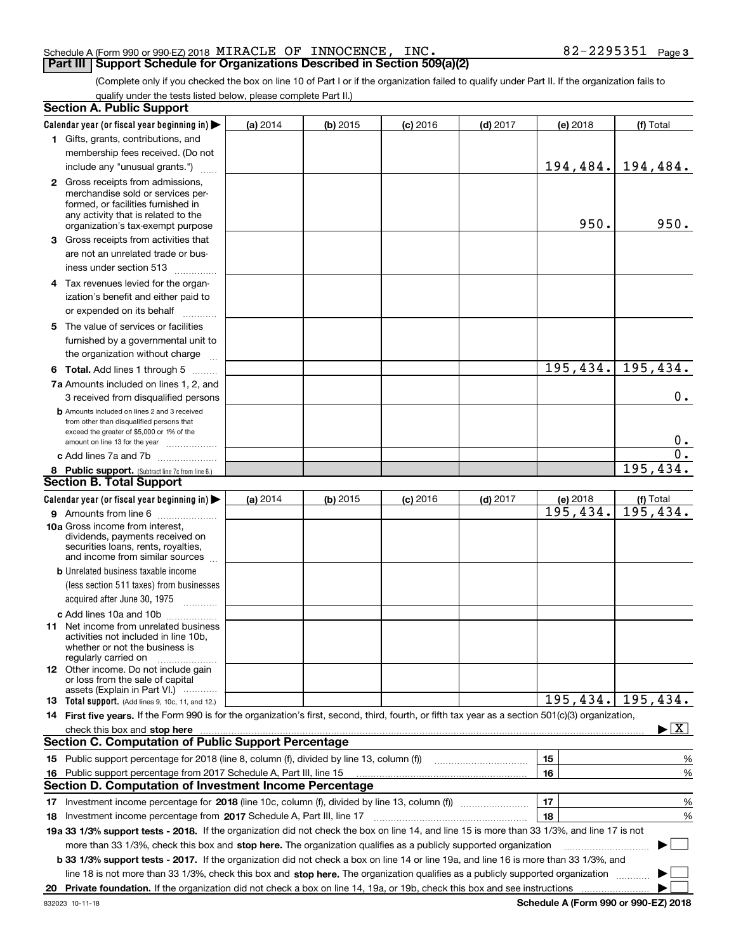### Schedule A (Form 990 or 990-EZ) 2018 Page MIRACLE OF INNOCENCE, INC. 82-2295351 **Part III Support Schedule for Organizations Described in Section 509(a)(2)**

(Complete only if you checked the box on line 10 of Part I or if the organization failed to qualify under Part II. If the organization fails to qualify under the tests listed below, please complete Part II.)

|    | <b>Section A. Public Support</b>                                                                                                                    |          |            |            |            |           |                                 |
|----|-----------------------------------------------------------------------------------------------------------------------------------------------------|----------|------------|------------|------------|-----------|---------------------------------|
|    | Calendar year (or fiscal year beginning in)                                                                                                         | (a) 2014 | $(b)$ 2015 | $(c)$ 2016 | $(d)$ 2017 | (e) 2018  | (f) Total                       |
|    | 1 Gifts, grants, contributions, and                                                                                                                 |          |            |            |            |           |                                 |
|    | membership fees received. (Do not                                                                                                                   |          |            |            |            |           |                                 |
|    | include any "unusual grants.")                                                                                                                      |          |            |            |            | 194,484.  | 194,484.                        |
|    | 2 Gross receipts from admissions,                                                                                                                   |          |            |            |            |           |                                 |
|    | merchandise sold or services per-                                                                                                                   |          |            |            |            |           |                                 |
|    | formed, or facilities furnished in                                                                                                                  |          |            |            |            |           |                                 |
|    | any activity that is related to the<br>organization's tax-exempt purpose                                                                            |          |            |            |            | 950.      | 950.                            |
|    | 3 Gross receipts from activities that                                                                                                               |          |            |            |            |           |                                 |
|    | are not an unrelated trade or bus-                                                                                                                  |          |            |            |            |           |                                 |
|    | iness under section 513                                                                                                                             |          |            |            |            |           |                                 |
|    | 4 Tax revenues levied for the organ-                                                                                                                |          |            |            |            |           |                                 |
|    | ization's benefit and either paid to                                                                                                                |          |            |            |            |           |                                 |
|    | or expended on its behalf                                                                                                                           |          |            |            |            |           |                                 |
|    | .                                                                                                                                                   |          |            |            |            |           |                                 |
|    | 5 The value of services or facilities                                                                                                               |          |            |            |            |           |                                 |
|    | furnished by a governmental unit to                                                                                                                 |          |            |            |            |           |                                 |
|    | the organization without charge                                                                                                                     |          |            |            |            |           |                                 |
|    | <b>6 Total.</b> Add lines 1 through 5                                                                                                               |          |            |            |            | 195,434.  | 195,434.                        |
|    | 7a Amounts included on lines 1, 2, and                                                                                                              |          |            |            |            |           |                                 |
|    | 3 received from disqualified persons                                                                                                                |          |            |            |            |           | $0$ .                           |
|    | <b>b</b> Amounts included on lines 2 and 3 received<br>from other than disqualified persons that                                                    |          |            |            |            |           |                                 |
|    | exceed the greater of \$5,000 or 1% of the                                                                                                          |          |            |            |            |           |                                 |
|    | amount on line 13 for the year                                                                                                                      |          |            |            |            |           | $0$ .                           |
|    | c Add lines 7a and 7b                                                                                                                               |          |            |            |            |           | 0.                              |
|    | 8 Public support. (Subtract line 7c from line 6.)                                                                                                   |          |            |            |            |           | 195,434.                        |
|    | <b>Section B. Total Support</b>                                                                                                                     |          |            |            |            |           |                                 |
|    | Calendar year (or fiscal year beginning in)                                                                                                         | (a) 2014 | $(b)$ 2015 | $(c)$ 2016 | $(d)$ 2017 | (e) 2018  | (f) Total                       |
|    | 9 Amounts from line 6                                                                                                                               |          |            |            |            | 195,434.  | 195,434.                        |
|    | 10a Gross income from interest,<br>dividends, payments received on                                                                                  |          |            |            |            |           |                                 |
|    | securities loans, rents, royalties,                                                                                                                 |          |            |            |            |           |                                 |
|    | and income from similar sources                                                                                                                     |          |            |            |            |           |                                 |
|    | <b>b</b> Unrelated business taxable income                                                                                                          |          |            |            |            |           |                                 |
|    | (less section 511 taxes) from businesses                                                                                                            |          |            |            |            |           |                                 |
|    | acquired after June 30, 1975 [10001]                                                                                                                |          |            |            |            |           |                                 |
|    | c Add lines 10a and 10b                                                                                                                             |          |            |            |            |           |                                 |
|    | 11 Net income from unrelated business                                                                                                               |          |            |            |            |           |                                 |
|    | activities not included in line 10b,<br>whether or not the business is                                                                              |          |            |            |            |           |                                 |
|    | regularly carried on                                                                                                                                |          |            |            |            |           |                                 |
|    | <b>12</b> Other income. Do not include gain                                                                                                         |          |            |            |            |           |                                 |
|    | or loss from the sale of capital                                                                                                                    |          |            |            |            |           |                                 |
|    | assets (Explain in Part VI.)<br>13 Total support. (Add lines 9, 10c, 11, and 12.)                                                                   |          |            |            |            | 195, 434. | 195,434.                        |
|    | 14 First five years. If the Form 990 is for the organization's first, second, third, fourth, or fifth tax year as a section 501(c)(3) organization, |          |            |            |            |           |                                 |
|    | check this box and stop here www.array.com/www.array.com/www.array.com/www.array.com/www.array.com/www.array.c                                      |          |            |            |            |           | $\blacktriangleright$ $\vert$ X |
|    | <b>Section C. Computation of Public Support Percentage</b>                                                                                          |          |            |            |            |           |                                 |
|    | 15 Public support percentage for 2018 (line 8, column (f), divided by line 13, column (f))                                                          |          |            |            |            | 15        | %                               |
|    | 16 Public support percentage from 2017 Schedule A, Part III, line 15                                                                                |          |            |            |            | 16        | %                               |
|    | <b>Section D. Computation of Investment Income Percentage</b>                                                                                       |          |            |            |            |           |                                 |
|    | 17 Investment income percentage for 2018 (line 10c, column (f), divided by line 13, column (f))                                                     |          |            |            |            | 17        | %                               |
|    | <b>18</b> Investment income percentage from <b>2017</b> Schedule A, Part III, line 17                                                               |          |            |            |            | 18        | %                               |
|    | 19a 33 1/3% support tests - 2018. If the organization did not check the box on line 14, and line 15 is more than 33 1/3%, and line 17 is not        |          |            |            |            |           |                                 |
|    | more than 33 1/3%, check this box and stop here. The organization qualifies as a publicly supported organization                                    |          |            |            |            |           | ▶                               |
|    | b 33 1/3% support tests - 2017. If the organization did not check a box on line 14 or line 19a, and line 16 is more than 33 1/3%, and               |          |            |            |            |           |                                 |
|    | line 18 is not more than 33 1/3%, check this box and stop here. The organization qualifies as a publicly supported organization                     |          |            |            |            |           |                                 |
| 20 |                                                                                                                                                     |          |            |            |            |           |                                 |
|    |                                                                                                                                                     |          |            |            |            |           |                                 |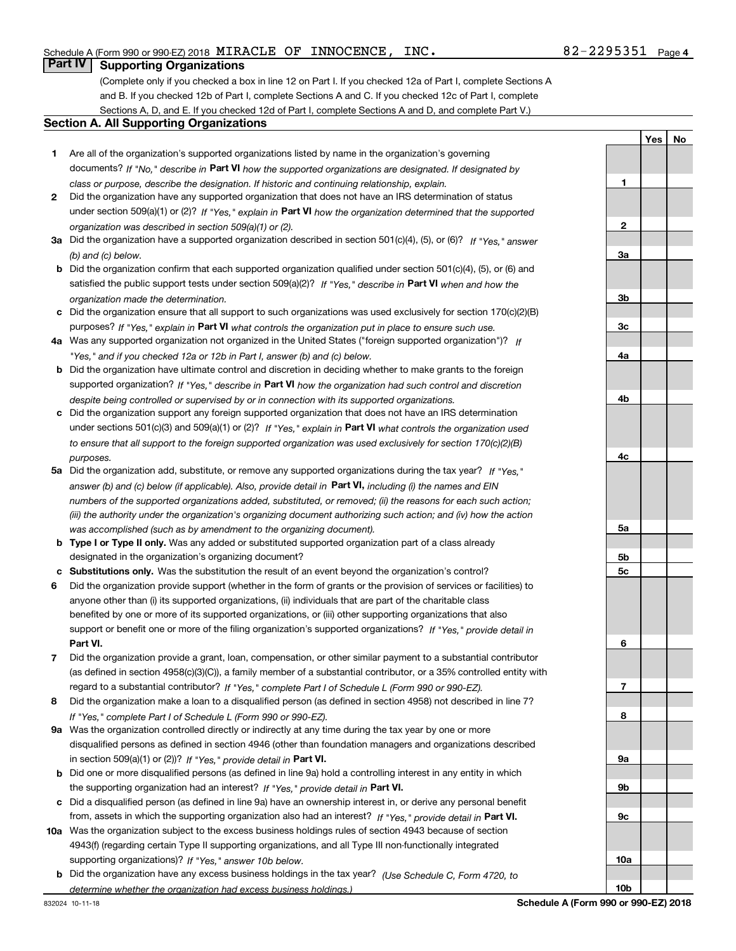**1**

**2**

**3a**

**3b**

**3c**

**4a**

**4b**

**4c**

**5a**

**5b5c**

**6**

**7**

**8**

**9a**

**9b**

**9c**

**10a**

**10b**

**YesNo**

### **Part IV Supporting Organizations**

(Complete only if you checked a box in line 12 on Part I. If you checked 12a of Part I, complete Sections A and B. If you checked 12b of Part I, complete Sections A and C. If you checked 12c of Part I, complete Sections A, D, and E. If you checked 12d of Part I, complete Sections A and D, and complete Part V.)

### **Section A. All Supporting Organizations**

- **1** Are all of the organization's supported organizations listed by name in the organization's governing documents? If "No," describe in **Part VI** how the supported organizations are designated. If designated by *class or purpose, describe the designation. If historic and continuing relationship, explain.*
- **2** Did the organization have any supported organization that does not have an IRS determination of status under section 509(a)(1) or (2)? If "Yes," explain in Part VI how the organization determined that the supported *organization was described in section 509(a)(1) or (2).*
- **3a** Did the organization have a supported organization described in section 501(c)(4), (5), or (6)? If "Yes," answer *(b) and (c) below.*
- **b** Did the organization confirm that each supported organization qualified under section 501(c)(4), (5), or (6) and satisfied the public support tests under section 509(a)(2)? If "Yes," describe in **Part VI** when and how the *organization made the determination.*
- **c**Did the organization ensure that all support to such organizations was used exclusively for section 170(c)(2)(B) purposes? If "Yes," explain in **Part VI** what controls the organization put in place to ensure such use.
- **4a***If* Was any supported organization not organized in the United States ("foreign supported organization")? *"Yes," and if you checked 12a or 12b in Part I, answer (b) and (c) below.*
- **b** Did the organization have ultimate control and discretion in deciding whether to make grants to the foreign supported organization? If "Yes," describe in **Part VI** how the organization had such control and discretion *despite being controlled or supervised by or in connection with its supported organizations.*
- **c** Did the organization support any foreign supported organization that does not have an IRS determination under sections 501(c)(3) and 509(a)(1) or (2)? If "Yes," explain in **Part VI** what controls the organization used *to ensure that all support to the foreign supported organization was used exclusively for section 170(c)(2)(B) purposes.*
- **5a***If "Yes,"* Did the organization add, substitute, or remove any supported organizations during the tax year? answer (b) and (c) below (if applicable). Also, provide detail in **Part VI,** including (i) the names and EIN *numbers of the supported organizations added, substituted, or removed; (ii) the reasons for each such action; (iii) the authority under the organization's organizing document authorizing such action; and (iv) how the action was accomplished (such as by amendment to the organizing document).*
- **b** Type I or Type II only. Was any added or substituted supported organization part of a class already designated in the organization's organizing document?
- **cSubstitutions only.**  Was the substitution the result of an event beyond the organization's control?
- **6** Did the organization provide support (whether in the form of grants or the provision of services or facilities) to **Part VI.** *If "Yes," provide detail in* support or benefit one or more of the filing organization's supported organizations? anyone other than (i) its supported organizations, (ii) individuals that are part of the charitable class benefited by one or more of its supported organizations, or (iii) other supporting organizations that also
- **7**Did the organization provide a grant, loan, compensation, or other similar payment to a substantial contributor *If "Yes," complete Part I of Schedule L (Form 990 or 990-EZ).* regard to a substantial contributor? (as defined in section 4958(c)(3)(C)), a family member of a substantial contributor, or a 35% controlled entity with
- **8** Did the organization make a loan to a disqualified person (as defined in section 4958) not described in line 7? *If "Yes," complete Part I of Schedule L (Form 990 or 990-EZ).*
- **9a** Was the organization controlled directly or indirectly at any time during the tax year by one or more in section 509(a)(1) or (2))? If "Yes," *provide detail in* <code>Part VI.</code> disqualified persons as defined in section 4946 (other than foundation managers and organizations described
- **b** Did one or more disqualified persons (as defined in line 9a) hold a controlling interest in any entity in which the supporting organization had an interest? If "Yes," provide detail in P**art VI**.
- **c**Did a disqualified person (as defined in line 9a) have an ownership interest in, or derive any personal benefit from, assets in which the supporting organization also had an interest? If "Yes," provide detail in P**art VI.**
- **10a** Was the organization subject to the excess business holdings rules of section 4943 because of section supporting organizations)? If "Yes," answer 10b below. 4943(f) (regarding certain Type II supporting organizations, and all Type III non-functionally integrated
- **b** Did the organization have any excess business holdings in the tax year? (Use Schedule C, Form 4720, to *determine whether the organization had excess business holdings.)*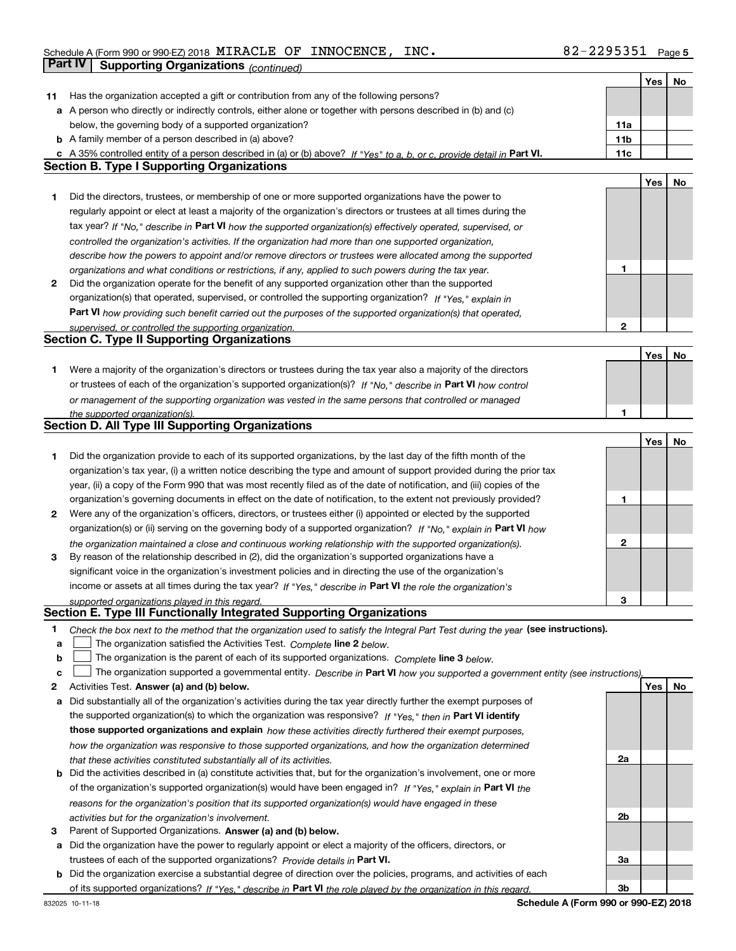### Schedule A (Form 990 or 990-EZ) 2018 Page MIRACLE OF INNOCENCE, INC. 82-2295351**Part IV Supporting Organizations** *(continued)*

|    |                                                                                                                                   |              | Yes | No |
|----|-----------------------------------------------------------------------------------------------------------------------------------|--------------|-----|----|
| 11 | Has the organization accepted a gift or contribution from any of the following persons?                                           |              |     |    |
|    | a A person who directly or indirectly controls, either alone or together with persons described in (b) and (c)                    |              |     |    |
|    | below, the governing body of a supported organization?                                                                            | 11a          |     |    |
|    | <b>b</b> A family member of a person described in (a) above?                                                                      | 11b          |     |    |
|    | c A 35% controlled entity of a person described in (a) or (b) above? If "Yes" to a, b, or c, provide detail in Part VI.           | 11c          |     |    |
|    | <b>Section B. Type I Supporting Organizations</b>                                                                                 |              |     |    |
|    |                                                                                                                                   |              | Yes | No |
| 1  | Did the directors, trustees, or membership of one or more supported organizations have the power to                               |              |     |    |
|    | regularly appoint or elect at least a majority of the organization's directors or trustees at all times during the                |              |     |    |
|    | tax year? If "No," describe in Part VI how the supported organization(s) effectively operated, supervised, or                     |              |     |    |
|    | controlled the organization's activities. If the organization had more than one supported organization,                           |              |     |    |
|    | describe how the powers to appoint and/or remove directors or trustees were allocated among the supported                         |              |     |    |
|    | organizations and what conditions or restrictions, if any, applied to such powers during the tax year.                            | 1            |     |    |
| 2  | Did the organization operate for the benefit of any supported organization other than the supported                               |              |     |    |
|    | organization(s) that operated, supervised, or controlled the supporting organization? If "Yes," explain in                        |              |     |    |
|    | Part VI how providing such benefit carried out the purposes of the supported organization(s) that operated,                       |              |     |    |
|    | supervised, or controlled the supporting organization.                                                                            | $\mathbf{2}$ |     |    |
|    | <b>Section C. Type II Supporting Organizations</b>                                                                                |              |     |    |
|    |                                                                                                                                   |              | Yes | No |
| 1. | Were a majority of the organization's directors or trustees during the tax year also a majority of the directors                  |              |     |    |
|    | or trustees of each of the organization's supported organization(s)? If "No." describe in Part VI how control                     |              |     |    |
|    | or management of the supporting organization was vested in the same persons that controlled or managed                            |              |     |    |
|    | the supported organization(s).                                                                                                    | 1            |     |    |
|    | <b>Section D. All Type III Supporting Organizations</b>                                                                           |              |     |    |
|    |                                                                                                                                   |              | Yes | No |
| 1  | Did the organization provide to each of its supported organizations, by the last day of the fifth month of the                    |              |     |    |
|    | organization's tax year, (i) a written notice describing the type and amount of support provided during the prior tax             |              |     |    |
|    | year, (ii) a copy of the Form 990 that was most recently filed as of the date of notification, and (iii) copies of the            |              |     |    |
|    | organization's governing documents in effect on the date of notification, to the extent not previously provided?                  | 1            |     |    |
| 2  | Were any of the organization's officers, directors, or trustees either (i) appointed or elected by the supported                  |              |     |    |
|    | organization(s) or (ii) serving on the governing body of a supported organization? If "No," explain in Part VI how                |              |     |    |
|    | the organization maintained a close and continuous working relationship with the supported organization(s).                       | 2            |     |    |
| 3  | By reason of the relationship described in (2), did the organization's supported organizations have a                             |              |     |    |
|    | significant voice in the organization's investment policies and in directing the use of the organization's                        |              |     |    |
|    | income or assets at all times during the tax year? If "Yes," describe in Part VI the role the organization's                      |              |     |    |
|    | supported organizations played in this regard.<br>Section E. Type III Functionally Integrated Supporting Organizations            | 3            |     |    |
|    |                                                                                                                                   |              |     |    |
| 1  | Check the box next to the method that the organization used to satisfy the Integral Part Test during the year (see instructions). |              |     |    |
| a  | The organization satisfied the Activities Test. Complete line 2 below.                                                            |              |     |    |
| b  | The organization is the parent of each of its supported organizations. Complete line 3 below.                                     |              |     |    |
| c  | The organization supported a governmental entity. Describe in Part VI how you supported a government entity (see instructions).   |              |     |    |
| 2  | Activities Test. Answer (a) and (b) below.                                                                                        |              | Yes | No |
| а  | Did substantially all of the organization's activities during the tax year directly further the exempt purposes of                |              |     |    |
|    | the supported organization(s) to which the organization was responsive? If "Yes." then in Part VI identify                        |              |     |    |
|    | those supported organizations and explain how these activities directly furthered their exempt purposes,                          |              |     |    |
|    | how the organization was responsive to those supported organizations, and how the organization determined                         |              |     |    |
|    | that these activities constituted substantially all of its activities.                                                            | 2a           |     |    |
|    | <b>b</b> Did the activities described in (a) constitute activities that, but for the organization's involvement, one or more      |              |     |    |
|    | of the organization's supported organization(s) would have been engaged in? If "Yes," explain in Part VI the                      |              |     |    |
|    | reasons for the organization's position that its supported organization(s) would have engaged in these                            | 2b           |     |    |
| з  | activities but for the organization's involvement.<br>Parent of Supported Organizations. Answer (a) and (b) below.                |              |     |    |
|    | a Did the organization have the power to regularly appoint or elect a majority of the officers, directors, or                     |              |     |    |
|    | trustees of each of the supported organizations? Provide details in Part VI.                                                      | За           |     |    |
|    | <b>b</b> Did the organization exercise a substantial degree of direction over the policies, programs, and activities of each      |              |     |    |
|    | of its supported organizations? If "Yes." describe in Part VI the role played by the organization in this regard.                 | 3b           |     |    |
|    |                                                                                                                                   |              |     |    |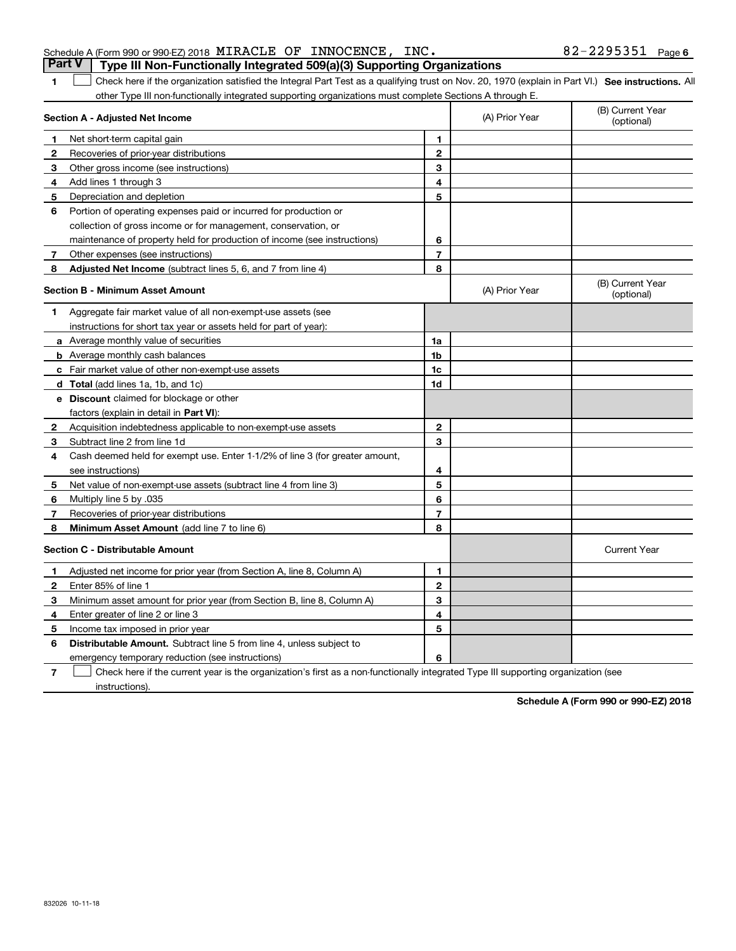### Schedule A (Form 990 or 990-EZ) 2018 Page MIRACLE OF INNOCENCE, INC. 82-2295351**Part V Type III Non-Functionally Integrated 509(a)(3) Supporting Organizations**

1 Check here if the organization satisfied the Integral Part Test as a qualifying trust on Nov. 20, 1970 (explain in Part VI.) See instructions. All other Type III non-functionally integrated supporting organizations must complete Sections A through E.

|                                  | Section A - Adjusted Net Income                                              |                | (A) Prior Year | (B) Current Year<br>(optional) |
|----------------------------------|------------------------------------------------------------------------------|----------------|----------------|--------------------------------|
| 1                                | Net short-term capital gain                                                  | 1              |                |                                |
| 2                                | Recoveries of prior-year distributions                                       | $\mathbf{2}$   |                |                                |
| 3                                | Other gross income (see instructions)                                        | 3              |                |                                |
| 4                                | Add lines 1 through 3                                                        | 4              |                |                                |
| 5                                | Depreciation and depletion                                                   | 5              |                |                                |
| 6                                | Portion of operating expenses paid or incurred for production or             |                |                |                                |
|                                  | collection of gross income or for management, conservation, or               |                |                |                                |
|                                  | maintenance of property held for production of income (see instructions)     | 6              |                |                                |
| 7                                | Other expenses (see instructions)                                            | $\overline{7}$ |                |                                |
| 8                                | <b>Adjusted Net Income</b> (subtract lines 5, 6, and 7 from line 4)          | 8              |                |                                |
| Section B - Minimum Asset Amount |                                                                              |                | (A) Prior Year | (B) Current Year<br>(optional) |
| 1                                | Aggregate fair market value of all non-exempt-use assets (see                |                |                |                                |
|                                  | instructions for short tax year or assets held for part of year):            |                |                |                                |
|                                  | <b>a</b> Average monthly value of securities                                 | 1a             |                |                                |
|                                  | <b>b</b> Average monthly cash balances                                       | 1b             |                |                                |
|                                  | <b>c</b> Fair market value of other non-exempt-use assets                    | 1c             |                |                                |
|                                  | d Total (add lines 1a, 1b, and 1c)                                           | 1d             |                |                                |
|                                  | <b>e</b> Discount claimed for blockage or other                              |                |                |                                |
|                                  | factors (explain in detail in Part VI):                                      |                |                |                                |
| 2                                | Acquisition indebtedness applicable to non-exempt-use assets                 | $\mathbf{2}$   |                |                                |
| 3                                | Subtract line 2 from line 1d                                                 | 3              |                |                                |
| 4                                | Cash deemed held for exempt use. Enter 1-1/2% of line 3 (for greater amount, |                |                |                                |
|                                  | see instructions)                                                            | 4              |                |                                |
| 5                                | Net value of non-exempt-use assets (subtract line 4 from line 3)             | 5              |                |                                |
| 6                                | Multiply line 5 by .035                                                      | 6              |                |                                |
| 7                                | Recoveries of prior-year distributions                                       | 7              |                |                                |
| 8                                | Minimum Asset Amount (add line 7 to line 6)                                  | 8              |                |                                |
|                                  | <b>Section C - Distributable Amount</b>                                      |                |                | <b>Current Year</b>            |
| -1                               | Adjusted net income for prior year (from Section A, line 8, Column A)        | $\mathbf{1}$   |                |                                |
| 2                                | Enter 85% of line 1                                                          | $\mathbf{2}$   |                |                                |
| З                                | Minimum asset amount for prior year (from Section B, line 8, Column A)       | 3              |                |                                |
| 4                                | Enter greater of line 2 or line 3                                            | 4              |                |                                |
| 5                                | Income tax imposed in prior year                                             | 5              |                |                                |
| 6                                | <b>Distributable Amount.</b> Subtract line 5 from line 4, unless subject to  |                |                |                                |
|                                  | emergency temporary reduction (see instructions)                             | 6              |                |                                |
|                                  |                                                                              |                |                |                                |

**7**Check here if the current year is the organization's first as a non-functionally integrated Type III supporting organization (see instructions).

**Schedule A (Form 990 or 990-EZ) 2018**

**1**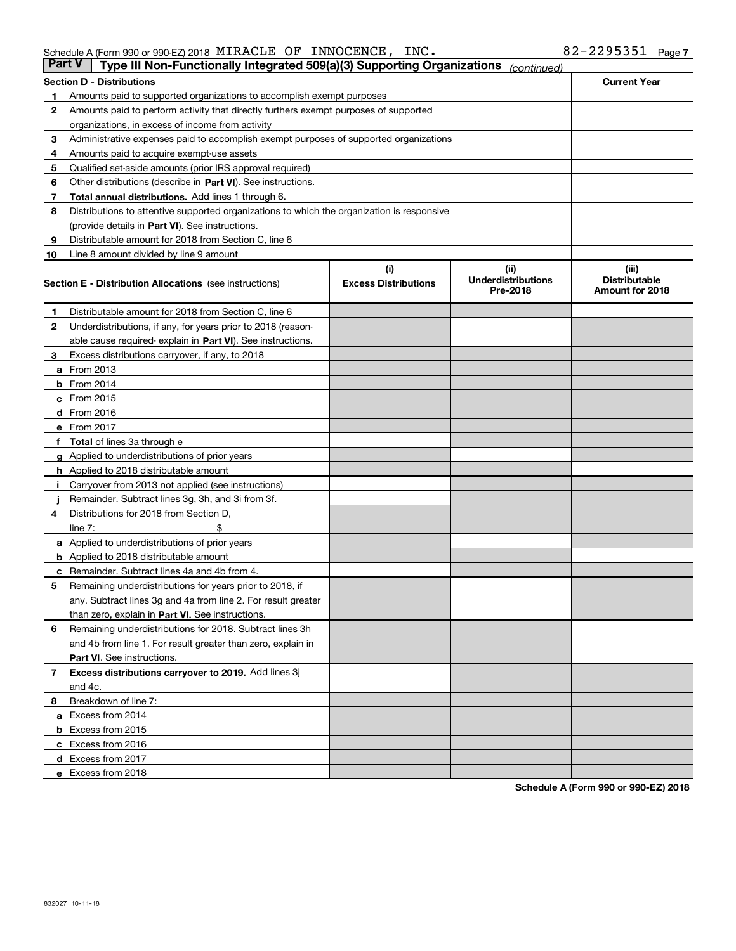### Schedule A (Form 990 or 990-EZ) 2018 Page MIRACLE OF INNOCENCE, INC. 82-2295351

| <b>Part V</b> | Type III Non-Functionally Integrated 509(a)(3) Supporting Organizations                    |                             | (continued)                           |                                         |  |  |  |  |
|---------------|--------------------------------------------------------------------------------------------|-----------------------------|---------------------------------------|-----------------------------------------|--|--|--|--|
|               | Section D - Distributions                                                                  |                             |                                       | <b>Current Year</b>                     |  |  |  |  |
| 1             | Amounts paid to supported organizations to accomplish exempt purposes                      |                             |                                       |                                         |  |  |  |  |
| 2             | Amounts paid to perform activity that directly furthers exempt purposes of supported       |                             |                                       |                                         |  |  |  |  |
|               | organizations, in excess of income from activity                                           |                             |                                       |                                         |  |  |  |  |
| з             | Administrative expenses paid to accomplish exempt purposes of supported organizations      |                             |                                       |                                         |  |  |  |  |
| 4             | Amounts paid to acquire exempt-use assets                                                  |                             |                                       |                                         |  |  |  |  |
| 5             | Qualified set-aside amounts (prior IRS approval required)                                  |                             |                                       |                                         |  |  |  |  |
| 6             | Other distributions (describe in Part VI). See instructions.                               |                             |                                       |                                         |  |  |  |  |
| 7             | Total annual distributions. Add lines 1 through 6.                                         |                             |                                       |                                         |  |  |  |  |
| 8             | Distributions to attentive supported organizations to which the organization is responsive |                             |                                       |                                         |  |  |  |  |
|               | (provide details in Part VI). See instructions.                                            |                             |                                       |                                         |  |  |  |  |
| 9             | Distributable amount for 2018 from Section C, line 6                                       |                             |                                       |                                         |  |  |  |  |
| 10            | Line 8 amount divided by line 9 amount                                                     |                             |                                       |                                         |  |  |  |  |
|               |                                                                                            | (i)                         | (ii)                                  | (iii)                                   |  |  |  |  |
|               | Section E - Distribution Allocations (see instructions)                                    | <b>Excess Distributions</b> | <b>Underdistributions</b><br>Pre-2018 | <b>Distributable</b><br>Amount for 2018 |  |  |  |  |
| 1             | Distributable amount for 2018 from Section C, line 6                                       |                             |                                       |                                         |  |  |  |  |
| 2             | Underdistributions, if any, for years prior to 2018 (reason-                               |                             |                                       |                                         |  |  |  |  |
|               | able cause required- explain in Part VI). See instructions.                                |                             |                                       |                                         |  |  |  |  |
| з             | Excess distributions carryover, if any, to 2018                                            |                             |                                       |                                         |  |  |  |  |
|               | <b>a</b> From 2013                                                                         |                             |                                       |                                         |  |  |  |  |
|               | <b>b</b> From 2014                                                                         |                             |                                       |                                         |  |  |  |  |
|               | $c$ From 2015                                                                              |                             |                                       |                                         |  |  |  |  |
|               | d From 2016                                                                                |                             |                                       |                                         |  |  |  |  |
|               | e From 2017                                                                                |                             |                                       |                                         |  |  |  |  |
|               | <b>Total</b> of lines 3a through e                                                         |                             |                                       |                                         |  |  |  |  |
|               | <b>g</b> Applied to underdistributions of prior years                                      |                             |                                       |                                         |  |  |  |  |
|               | <b>h</b> Applied to 2018 distributable amount                                              |                             |                                       |                                         |  |  |  |  |
|               | Carryover from 2013 not applied (see instructions)                                         |                             |                                       |                                         |  |  |  |  |
|               | Remainder. Subtract lines 3g, 3h, and 3i from 3f.                                          |                             |                                       |                                         |  |  |  |  |
| 4             | Distributions for 2018 from Section D,                                                     |                             |                                       |                                         |  |  |  |  |
|               | line $7:$                                                                                  |                             |                                       |                                         |  |  |  |  |
|               | <b>a</b> Applied to underdistributions of prior years                                      |                             |                                       |                                         |  |  |  |  |
|               | <b>b</b> Applied to 2018 distributable amount                                              |                             |                                       |                                         |  |  |  |  |
| c             | Remainder. Subtract lines 4a and 4b from 4.                                                |                             |                                       |                                         |  |  |  |  |
| 5             | Remaining underdistributions for years prior to 2018, if                                   |                             |                                       |                                         |  |  |  |  |
|               | any. Subtract lines 3g and 4a from line 2. For result greater                              |                             |                                       |                                         |  |  |  |  |
|               | than zero, explain in Part VI. See instructions.                                           |                             |                                       |                                         |  |  |  |  |
| 6             | Remaining underdistributions for 2018. Subtract lines 3h                                   |                             |                                       |                                         |  |  |  |  |
|               | and 4b from line 1. For result greater than zero, explain in                               |                             |                                       |                                         |  |  |  |  |
|               | Part VI. See instructions.                                                                 |                             |                                       |                                         |  |  |  |  |
| 7             | Excess distributions carryover to 2019. Add lines 3j                                       |                             |                                       |                                         |  |  |  |  |
|               | and 4c.                                                                                    |                             |                                       |                                         |  |  |  |  |
| 8             | Breakdown of line 7:                                                                       |                             |                                       |                                         |  |  |  |  |
|               | a Excess from 2014                                                                         |                             |                                       |                                         |  |  |  |  |
|               | <b>b</b> Excess from 2015                                                                  |                             |                                       |                                         |  |  |  |  |
|               | c Excess from 2016                                                                         |                             |                                       |                                         |  |  |  |  |
|               | d Excess from 2017                                                                         |                             |                                       |                                         |  |  |  |  |
|               | e Excess from 2018                                                                         |                             |                                       |                                         |  |  |  |  |
|               |                                                                                            |                             |                                       |                                         |  |  |  |  |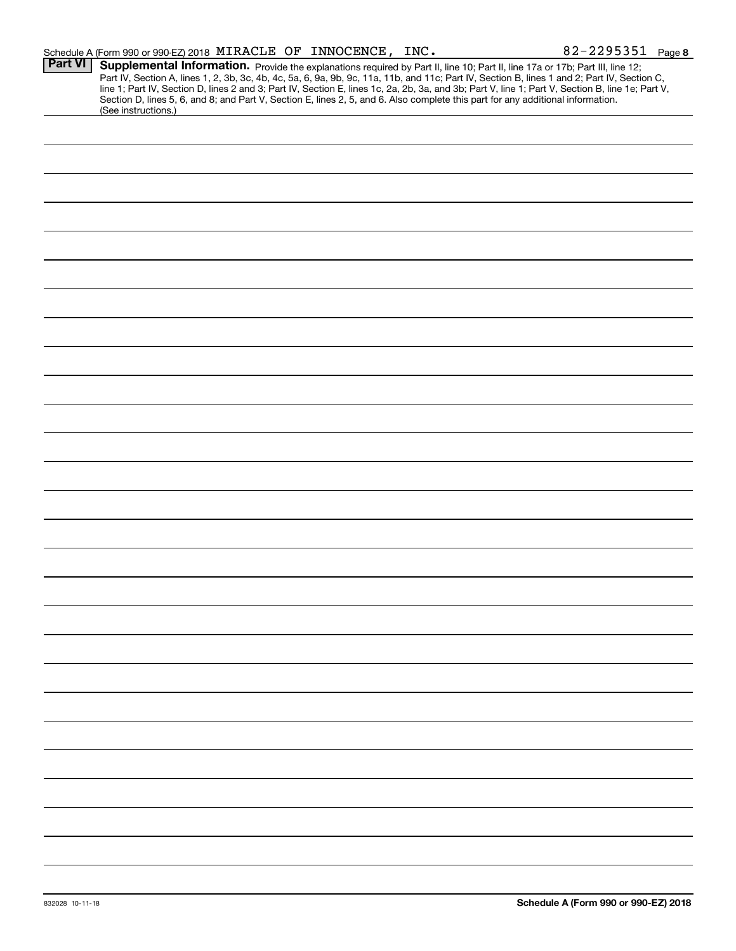|                | Schedule A (Form 990 or 990-EZ) 2018 MIRACLE OF INNOCENCE, INC. |  |  | 82-2295351 Page 8                                                                                                                                                                                                                                                                                                                                                                                                                                                                                                                                                    |
|----------------|-----------------------------------------------------------------|--|--|----------------------------------------------------------------------------------------------------------------------------------------------------------------------------------------------------------------------------------------------------------------------------------------------------------------------------------------------------------------------------------------------------------------------------------------------------------------------------------------------------------------------------------------------------------------------|
| <b>Part VI</b> |                                                                 |  |  | Supplemental Information. Provide the explanations required by Part II, line 10; Part II, line 17a or 17b; Part III, line 12;<br>Part IV, Section A, lines 1, 2, 3b, 3c, 4b, 4c, 5a, 6, 9a, 9b, 9c, 11a, 11b, and 11c; Part IV, Section B, lines 1 and 2; Part IV, Section C,<br>line 1; Part IV, Section D, lines 2 and 3; Part IV, Section E, lines 1c, 2a, 2b, 3a, and 3b; Part V, line 1; Part V, Section B, line 1e; Part V,<br>Section D, lines 5, 6, and 8; and Part V, Section E, lines 2, 5, and 6. Also complete this part for any additional information. |
|                | (See instructions.)                                             |  |  |                                                                                                                                                                                                                                                                                                                                                                                                                                                                                                                                                                      |
|                |                                                                 |  |  |                                                                                                                                                                                                                                                                                                                                                                                                                                                                                                                                                                      |
|                |                                                                 |  |  |                                                                                                                                                                                                                                                                                                                                                                                                                                                                                                                                                                      |
|                |                                                                 |  |  |                                                                                                                                                                                                                                                                                                                                                                                                                                                                                                                                                                      |
|                |                                                                 |  |  |                                                                                                                                                                                                                                                                                                                                                                                                                                                                                                                                                                      |
|                |                                                                 |  |  |                                                                                                                                                                                                                                                                                                                                                                                                                                                                                                                                                                      |
|                |                                                                 |  |  |                                                                                                                                                                                                                                                                                                                                                                                                                                                                                                                                                                      |
|                |                                                                 |  |  |                                                                                                                                                                                                                                                                                                                                                                                                                                                                                                                                                                      |
|                |                                                                 |  |  |                                                                                                                                                                                                                                                                                                                                                                                                                                                                                                                                                                      |
|                |                                                                 |  |  |                                                                                                                                                                                                                                                                                                                                                                                                                                                                                                                                                                      |
|                |                                                                 |  |  |                                                                                                                                                                                                                                                                                                                                                                                                                                                                                                                                                                      |
|                |                                                                 |  |  |                                                                                                                                                                                                                                                                                                                                                                                                                                                                                                                                                                      |
|                |                                                                 |  |  |                                                                                                                                                                                                                                                                                                                                                                                                                                                                                                                                                                      |
|                |                                                                 |  |  |                                                                                                                                                                                                                                                                                                                                                                                                                                                                                                                                                                      |
|                |                                                                 |  |  |                                                                                                                                                                                                                                                                                                                                                                                                                                                                                                                                                                      |
|                |                                                                 |  |  |                                                                                                                                                                                                                                                                                                                                                                                                                                                                                                                                                                      |
|                |                                                                 |  |  |                                                                                                                                                                                                                                                                                                                                                                                                                                                                                                                                                                      |
|                |                                                                 |  |  |                                                                                                                                                                                                                                                                                                                                                                                                                                                                                                                                                                      |
|                |                                                                 |  |  |                                                                                                                                                                                                                                                                                                                                                                                                                                                                                                                                                                      |
|                |                                                                 |  |  |                                                                                                                                                                                                                                                                                                                                                                                                                                                                                                                                                                      |
|                |                                                                 |  |  |                                                                                                                                                                                                                                                                                                                                                                                                                                                                                                                                                                      |
|                |                                                                 |  |  |                                                                                                                                                                                                                                                                                                                                                                                                                                                                                                                                                                      |
|                |                                                                 |  |  |                                                                                                                                                                                                                                                                                                                                                                                                                                                                                                                                                                      |
|                |                                                                 |  |  |                                                                                                                                                                                                                                                                                                                                                                                                                                                                                                                                                                      |
|                |                                                                 |  |  |                                                                                                                                                                                                                                                                                                                                                                                                                                                                                                                                                                      |
|                |                                                                 |  |  |                                                                                                                                                                                                                                                                                                                                                                                                                                                                                                                                                                      |
|                |                                                                 |  |  |                                                                                                                                                                                                                                                                                                                                                                                                                                                                                                                                                                      |
|                |                                                                 |  |  |                                                                                                                                                                                                                                                                                                                                                                                                                                                                                                                                                                      |
|                |                                                                 |  |  |                                                                                                                                                                                                                                                                                                                                                                                                                                                                                                                                                                      |
|                |                                                                 |  |  |                                                                                                                                                                                                                                                                                                                                                                                                                                                                                                                                                                      |
|                |                                                                 |  |  |                                                                                                                                                                                                                                                                                                                                                                                                                                                                                                                                                                      |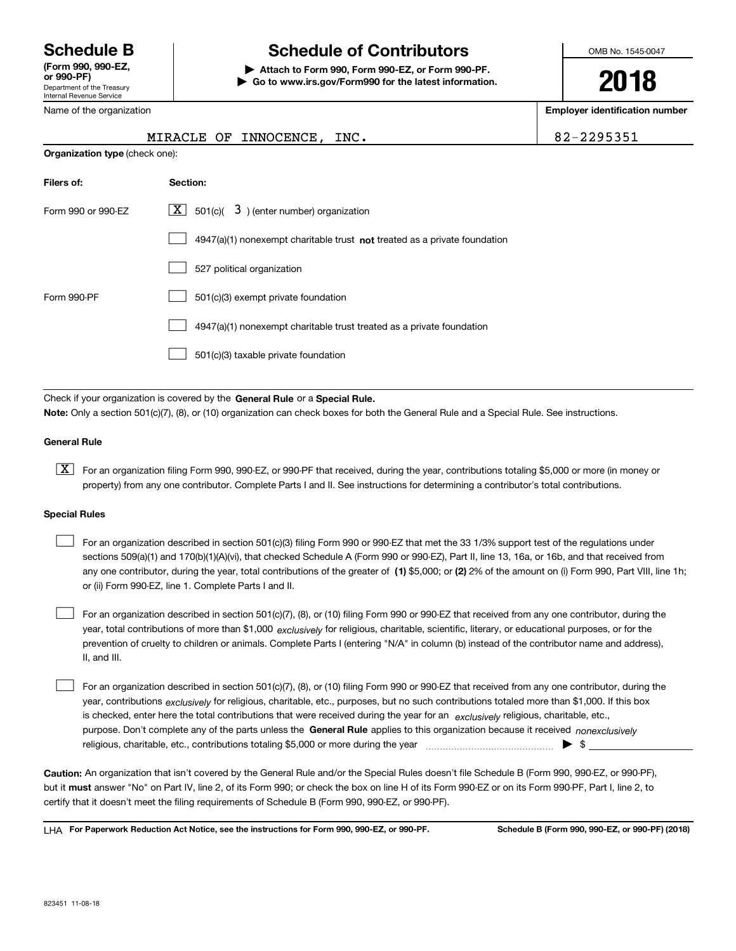Department of the Treasury Internal Revenue Service **(Form 990, 990-EZ, or 990-PF)**

Name of the organization

# **Schedule B Schedule of Contributors**

**| Attach to Form 990, Form 990-EZ, or Form 990-PF. | Go to www.irs.gov/Form990 for the latest information.** OMB No. 1545-0047

**2018**

**Employer identification number**

|                                       | MIRACLE OF INNOCENCE, INC.                                                         | 82-2295351 |
|---------------------------------------|------------------------------------------------------------------------------------|------------|
| <b>Organization type (check one):</b> |                                                                                    |            |
| Filers of:                            | Section:                                                                           |            |
| Form 990 or 990-EZ                    | $\lfloor x \rfloor$ 501(c)( 3) (enter number) organization                         |            |
|                                       | $4947(a)(1)$ nonexempt charitable trust <b>not</b> treated as a private foundation |            |
|                                       | 527 political organization                                                         |            |
| Form 990-PF                           | 501(c)(3) exempt private foundation                                                |            |
|                                       | 4947(a)(1) nonexempt charitable trust treated as a private foundation              |            |
|                                       | 501(c)(3) taxable private foundation                                               |            |

Check if your organization is covered by the **General Rule** or a **Special Rule. Note:**  Only a section 501(c)(7), (8), or (10) organization can check boxes for both the General Rule and a Special Rule. See instructions.

### **General Rule**

 $\boxed{\textbf{X}}$  For an organization filing Form 990, 990-EZ, or 990-PF that received, during the year, contributions totaling \$5,000 or more (in money or property) from any one contributor. Complete Parts I and II. See instructions for determining a contributor's total contributions.

#### **Special Rules**

| For an organization described in section 501(c)(3) filing Form 990 or 990-EZ that met the 33 1/3% support test of the regulations under               |
|-------------------------------------------------------------------------------------------------------------------------------------------------------|
| sections 509(a)(1) and 170(b)(1)(A)(vi), that checked Schedule A (Form 990 or 990-EZ), Part II, line 13, 16a, or 16b, and that received from          |
| any one contributor, during the year, total contributions of the greater of (1) \$5,000; or (2) 2% of the amount on (i) Form 990, Part VIII, line 1h; |
| or (ii) Form 990-EZ, line 1. Complete Parts I and II.                                                                                                 |

year, total contributions of more than \$1,000 *exclusively* for religious, charitable, scientific, literary, or educational purposes, or for the For an organization described in section 501(c)(7), (8), or (10) filing Form 990 or 990-EZ that received from any one contributor, during the prevention of cruelty to children or animals. Complete Parts I (entering "N/A" in column (b) instead of the contributor name and address), II, and III.  $\mathcal{L}^{\text{max}}$ 

purpose. Don't complete any of the parts unless the **General Rule** applies to this organization because it received *nonexclusively* year, contributions <sub>exclusively</sub> for religious, charitable, etc., purposes, but no such contributions totaled more than \$1,000. If this box is checked, enter here the total contributions that were received during the year for an  $\;$ exclusively religious, charitable, etc., For an organization described in section 501(c)(7), (8), or (10) filing Form 990 or 990-EZ that received from any one contributor, during the religious, charitable, etc., contributions totaling \$5,000 or more during the year  $\Box$ — $\Box$  =  $\Box$  $\mathcal{L}^{\text{max}}$ 

**Caution:**  An organization that isn't covered by the General Rule and/or the Special Rules doesn't file Schedule B (Form 990, 990-EZ, or 990-PF),  **must** but it answer "No" on Part IV, line 2, of its Form 990; or check the box on line H of its Form 990-EZ or on its Form 990-PF, Part I, line 2, to certify that it doesn't meet the filing requirements of Schedule B (Form 990, 990-EZ, or 990-PF).

**For Paperwork Reduction Act Notice, see the instructions for Form 990, 990-EZ, or 990-PF. Schedule B (Form 990, 990-EZ, or 990-PF) (2018)** LHA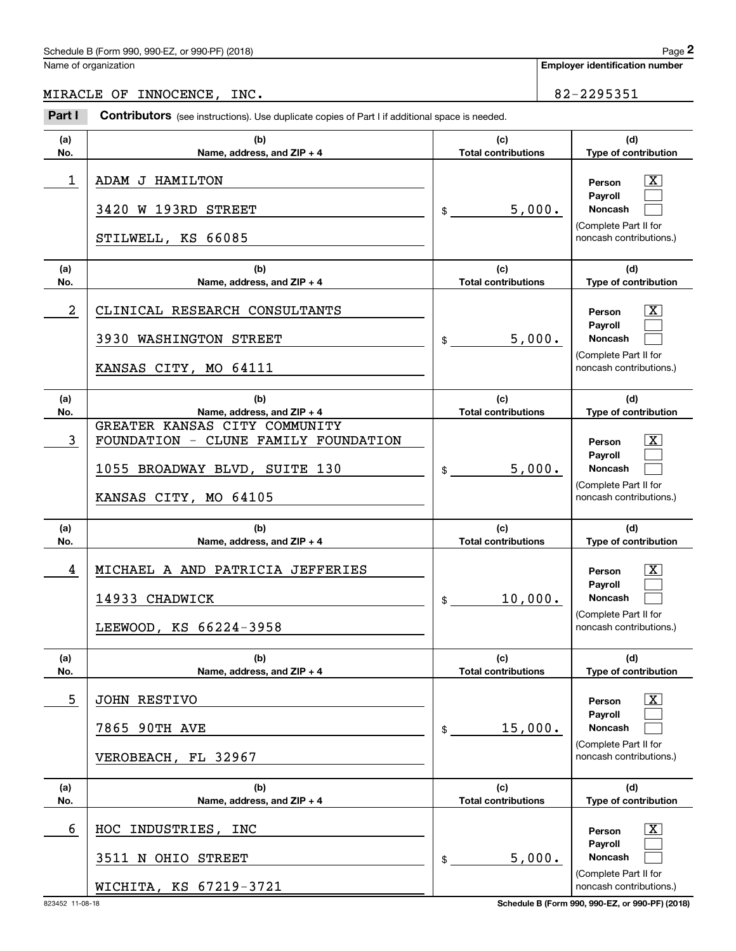### Schedule B (Form 990, 990-EZ, or 990-PF) (2018)  $P_0 = 2$

Name of organization

**Employer identification number**

**(a)No.(b)Name, address, and ZIP + 4 (c)Total contributions (d)Type of contribution PersonPayrollNoncash (a)No.(b)Name, address, and ZIP + 4 (c)Total contributions (d)Type of contribution PersonPayrollNoncash (a)No.(b)Name, address, and ZIP + 4 (c)Total contributions (d) Type of contribution PersonPayrollNoncash (a)No.(b)Name, address, and ZIP + 4 (c) Total contributions (d)Type of contribution PersonPayrollNoncash (a)No.(b)Name, address, and ZIP + 4 (c)Total contributions (d)Type of contribution PersonPayrollNoncash (a)No.(b)Name, address, and ZIP + 4 (c)Total contributions (d)Type of contribution PersonPayrollNoncash Contributors** (see instructions). Use duplicate copies of Part I if additional space is needed. \$(Complete Part II for noncash contributions.) \$(Complete Part II for noncash contributions.) \$(Complete Part II for noncash contributions.) \$(Complete Part II for noncash contributions.) \$(Complete Part II for noncash contributions.)  $$$ (Complete Part II for noncash contributions.) **2Page 2**<br>
Iame of organization<br> **2Part I Contributors** (see instructions). Use duplicate copies of Part I if additional space is needed.<br> **2Part I Contributors** (see instructions). Use duplicate copies of Part I if ad  $\lceil \text{X} \rceil$  $\mathcal{L}^{\text{max}}$  $\mathcal{L}^{\text{max}}$  $\boxed{\text{X}}$  $\mathcal{L}^{\text{max}}$  $\mathcal{L}^{\text{max}}$  $\lceil \text{X} \rceil$  $\mathcal{L}^{\text{max}}$  $\mathcal{L}^{\text{max}}$  $|X|$  $\mathcal{L}^{\text{max}}$  $\mathcal{L}^{\text{max}}$  $|X|$  $\mathcal{L}^{\text{max}}$  $\mathcal{L}^{\text{max}}$  $\boxed{\text{X}}$  $\mathcal{L}^{\text{max}}$  $\mathcal{L}^{\text{max}}$ 1 X ADAM J HAMILTON 5,000. 3420 W 193RD STREET STILWELL, KS 66085 2 X CLINICAL RESEARCH CONSULTANTS 5,000. 3930 WASHINGTON STREET KANSAS CITY, MO 64111 3 X FOUNDATION - CLUNE FAMILY FOUNDATION 5,000. GREATER KANSAS CITY COMMUNITY 1055 BROADWAY BLVD, SUITE 130 KANSAS CITY, MO 64105 4 X MICHAEL A AND PATRICIA JEFFERIES 10,000. 14933 CHADWICK LEEWOOD, KS 66224-3958 5 X JOHN RESTIVO 15,000. 7865 90TH AVE VEROBEACH, FL 32967  $\begin{array}{|c|c|c|c|c|}\hline \text{6} & \text{HOC INDUSTRIES}, & \text{INC} & \text{2} & \text{2} & \text{2} & \text{2} & \text{2} & \text{2} & \text{2} & \text{2} & \text{2} & \text{2} & \text{2} & \text{2} & \text{2} & \text{2} & \text{2} & \text{2} & \text{2} & \text{2} & \text{2} & \text{2} & \text{2} & \text{2} & \text{2} & \text{2} & \text{2} & \text{2} & \text{2} & \text{2} & \text{2} & \text{2} &$ 5,000. 3511 N OHIO STREET WICHITA, KS 67219-3721 MIRACLE OF INNOCENCE, INC. Same and the set of the set of the set of the set of the set of the set of the set o

823452 11-08-18 **Schedule B (Form 990, 990-EZ, or 990-PF) (2018)**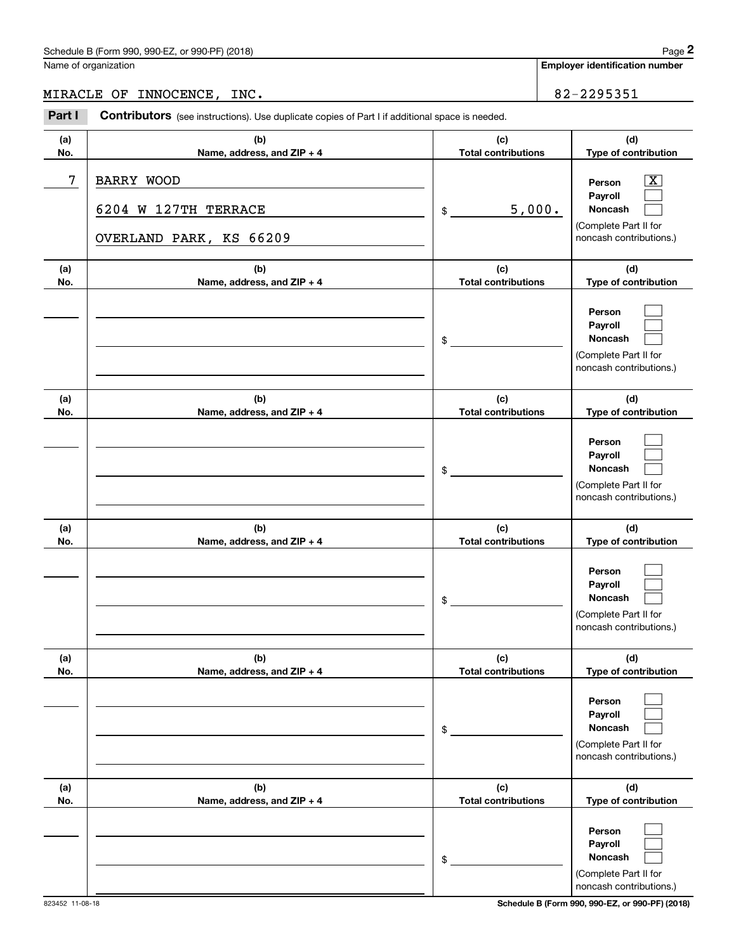### Schedule B (Form 990, 990-EZ, or 990-PF) (2018) **Page 2** Page 1 and the state of the state of the state of the state of the state of the state of the state of the state of the state of the state of the state of the state o

Name of organization

**Employer identification number**

MIRACLE OF INNOCENCE, INC. SALL AND SERVICE RESERVE AND SERVICE RESERVE AND MODEL AND SERVICE RESERVE AND SERVE

**(a)No.(b)Name, address, and ZIP + 4 (c)Total contributions (d)Type of contribution PersonPayrollNoncash (a)No.(b)Name, address, and ZIP + 4 (c)Total contributions (d)Type of contribution PersonPayrollNoncash (a)No.(b)Name, address, and ZIP + 4 (c)Total contributions (d)Type of contribution PersonPayrollNoncash (a) No.(b)Name, address, and ZIP + 4 (c) Total contributions (d) Type of contribution PersonPayrollNoncash(a) No.(b)Name, address, and ZIP + 4 (c) Total contributions (d) Type of contribution PersonPayrollNoncash (a) No.(b)Name, address, and ZIP + 4 (c) Total contributions (d)Type of contribution PersonPayrollNoncash Contributors** (see instructions). Use duplicate copies of Part I if additional space is needed. \$(Complete Part II for noncash contributions.) \$(Complete Part II for noncash contributions.) \$(Complete Part II for noncash contributions.) \$(Complete Part II for noncash contributions.) \$(Complete Part II for noncash contributions.) \$(Complete Part II for noncash contributions.) **2Page 2**<br>
Iame of organization<br> **2Part I Contributors** (see instructions). Use duplicate copies of Part I if additional space is needed.<br> **2Part I Contributors** (see instructions). Use duplicate copies of Part I if ad  $\lceil \text{X} \rceil$  $\mathcal{L}^{\text{max}}$  $\mathcal{L}^{\text{max}}$  $\mathcal{L}^{\text{max}}$  $\mathcal{L}^{\text{max}}$  $\mathcal{L}^{\text{max}}$  $\mathcal{L}^{\text{max}}$  $\mathcal{L}^{\text{max}}$  $\mathcal{L}^{\text{max}}$  $\mathcal{L}^{\text{max}}$  $\mathcal{L}^{\text{max}}$  $\mathcal{L}^{\text{max}}$  $\mathcal{L}^{\text{max}}$  $\mathcal{L}^{\text{max}}$  $\mathcal{L}^{\text{max}}$  $\mathcal{L}^{\text{max}}$  $\mathcal{L}^{\text{max}}$  $\mathcal{L}^{\text{max}}$ T BARRY WOOD SAND SERVICE SERVICE SERVICE SERVICE SERVICE SERVICE SERVICE SERVICE SERVICE SERVICE SERVICE SERVICE SERVICE SERVICE SERVICE SERVICE SERVICE SERVICE SERVICE SERVICE SERVICE SERVICE SERVICE SERVICE SERVICE SERV 5,000. 6204 W 127TH TERRACE OVERLAND PARK, KS 66209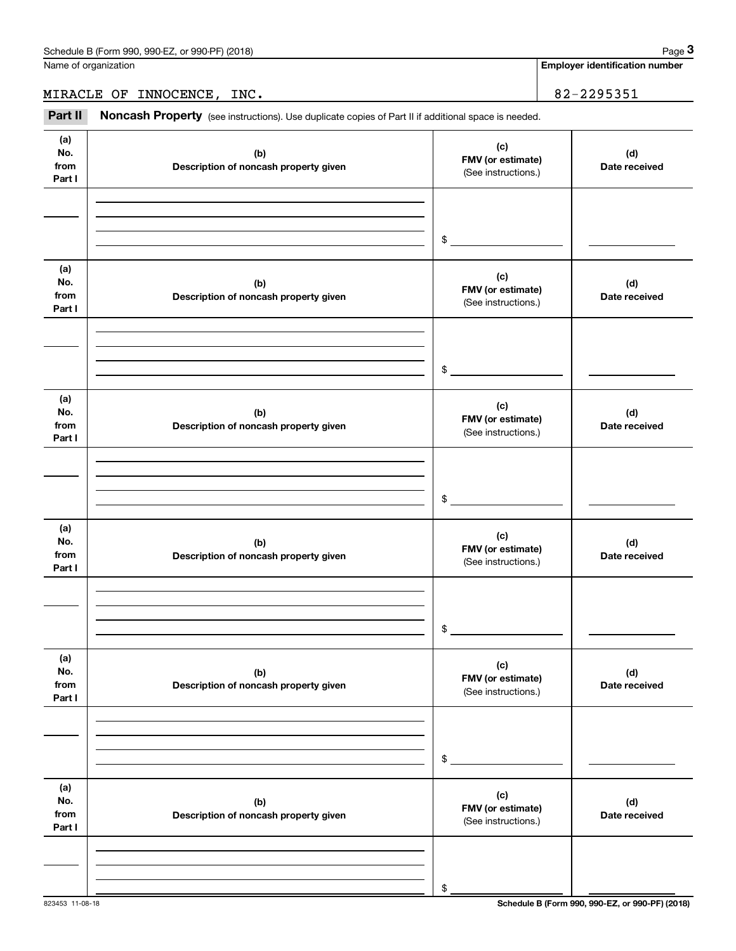Name of organization

**Employer identification number**

MIRACLE OF INNOCENCE, INC. 82-2295351

Chedule B (Form 990, 990-EZ, or 990-PF) (2018)<br> **2 Alame of organization**<br> **32 – 2295351**<br> **12 Part II if additional space is needed.**<br> **32 – 2295351**<br>
Part II **Noncash Property** (see instructions). Use duplicate copies of

| (a)<br>No.<br>from<br>Part I | (b)<br>Description of noncash property given | (c)<br>FMV (or estimate)<br>(See instructions.) | (d)<br>Date received |
|------------------------------|----------------------------------------------|-------------------------------------------------|----------------------|
|                              |                                              | $\frac{1}{2}$                                   |                      |
| (a)<br>No.<br>from<br>Part I | (b)<br>Description of noncash property given | (c)<br>FMV (or estimate)<br>(See instructions.) | (d)<br>Date received |
|                              |                                              | $\frac{1}{2}$                                   |                      |
| (a)<br>No.<br>from<br>Part I | (b)<br>Description of noncash property given | (c)<br>FMV (or estimate)<br>(See instructions.) | (d)<br>Date received |
|                              |                                              | $\frac{1}{2}$                                   |                      |
| (a)<br>No.<br>from<br>Part I | (b)<br>Description of noncash property given | (c)<br>FMV (or estimate)<br>(See instructions.) | (d)<br>Date received |
|                              |                                              | \$                                              |                      |
| (a)<br>No.<br>from<br>Part I | (b)<br>Description of noncash property given | (c)<br>FMV (or estimate)<br>(See instructions.) | (d)<br>Date received |
|                              |                                              | $\,$                                            |                      |
| (a)<br>No.<br>from<br>Part I | (b)<br>Description of noncash property given | (c)<br>FMV (or estimate)<br>(See instructions.) | (d)<br>Date received |
|                              |                                              | \$                                              |                      |

823453 11-08-18 **Schedule B (Form 990, 990-EZ, or 990-PF) (2018)**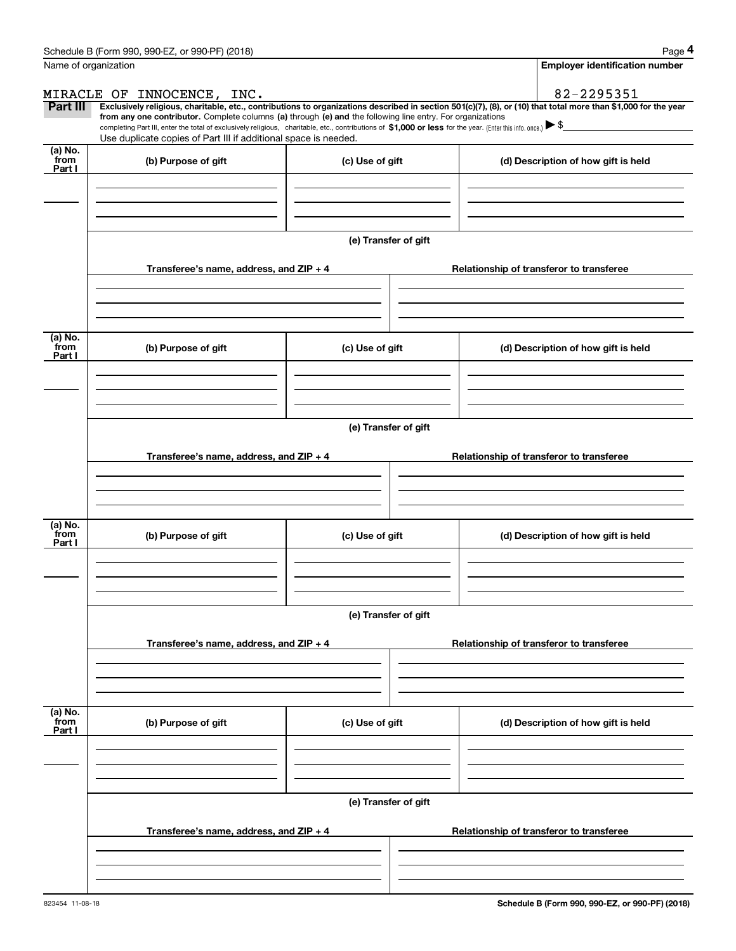|                           | Schedule B (Form 990, 990-EZ, or 990-PF) (2018)                                                                                                                                                                                                                            |                      | Page 4                                                                                                                                                         |  |  |  |  |  |  |
|---------------------------|----------------------------------------------------------------------------------------------------------------------------------------------------------------------------------------------------------------------------------------------------------------------------|----------------------|----------------------------------------------------------------------------------------------------------------------------------------------------------------|--|--|--|--|--|--|
|                           | Name of organization                                                                                                                                                                                                                                                       |                      | <b>Employer identification number</b>                                                                                                                          |  |  |  |  |  |  |
|                           | MIRACLE OF INNOCENCE, INC.                                                                                                                                                                                                                                                 |                      | 82-2295351                                                                                                                                                     |  |  |  |  |  |  |
| Part III                  |                                                                                                                                                                                                                                                                            |                      | Exclusively religious, charitable, etc., contributions to organizations described in section 501(c)(7), (8), or (10) that total more than \$1,000 for the year |  |  |  |  |  |  |
|                           | from any one contributor. Complete columns (a) through (e) and the following line entry. For organizations<br>completing Part III, enter the total of exclusively religious, charitable, etc., contributions of \$1,000 or less for the year. (Enter this info. once.) \\$ |                      |                                                                                                                                                                |  |  |  |  |  |  |
|                           | Use duplicate copies of Part III if additional space is needed.                                                                                                                                                                                                            |                      |                                                                                                                                                                |  |  |  |  |  |  |
| (a) No.<br>from           | (b) Purpose of gift                                                                                                                                                                                                                                                        | (c) Use of gift      | (d) Description of how gift is held                                                                                                                            |  |  |  |  |  |  |
| Part I                    |                                                                                                                                                                                                                                                                            |                      |                                                                                                                                                                |  |  |  |  |  |  |
|                           |                                                                                                                                                                                                                                                                            |                      |                                                                                                                                                                |  |  |  |  |  |  |
|                           |                                                                                                                                                                                                                                                                            |                      |                                                                                                                                                                |  |  |  |  |  |  |
|                           |                                                                                                                                                                                                                                                                            |                      |                                                                                                                                                                |  |  |  |  |  |  |
|                           |                                                                                                                                                                                                                                                                            | (e) Transfer of gift |                                                                                                                                                                |  |  |  |  |  |  |
|                           | Transferee's name, address, and ZIP + 4                                                                                                                                                                                                                                    |                      | Relationship of transferor to transferee                                                                                                                       |  |  |  |  |  |  |
|                           |                                                                                                                                                                                                                                                                            |                      |                                                                                                                                                                |  |  |  |  |  |  |
|                           |                                                                                                                                                                                                                                                                            |                      |                                                                                                                                                                |  |  |  |  |  |  |
|                           |                                                                                                                                                                                                                                                                            |                      |                                                                                                                                                                |  |  |  |  |  |  |
| (a) No.<br>from           | (b) Purpose of gift                                                                                                                                                                                                                                                        | (c) Use of gift      | (d) Description of how gift is held                                                                                                                            |  |  |  |  |  |  |
| Part I                    |                                                                                                                                                                                                                                                                            |                      |                                                                                                                                                                |  |  |  |  |  |  |
|                           |                                                                                                                                                                                                                                                                            |                      |                                                                                                                                                                |  |  |  |  |  |  |
|                           |                                                                                                                                                                                                                                                                            |                      |                                                                                                                                                                |  |  |  |  |  |  |
|                           | (e) Transfer of gift                                                                                                                                                                                                                                                       |                      |                                                                                                                                                                |  |  |  |  |  |  |
|                           |                                                                                                                                                                                                                                                                            |                      |                                                                                                                                                                |  |  |  |  |  |  |
|                           | Transferee's name, address, and ZIP + 4                                                                                                                                                                                                                                    |                      | Relationship of transferor to transferee                                                                                                                       |  |  |  |  |  |  |
|                           |                                                                                                                                                                                                                                                                            |                      |                                                                                                                                                                |  |  |  |  |  |  |
|                           |                                                                                                                                                                                                                                                                            |                      |                                                                                                                                                                |  |  |  |  |  |  |
|                           |                                                                                                                                                                                                                                                                            |                      |                                                                                                                                                                |  |  |  |  |  |  |
| (a) No.<br>from<br>Part I | (b) Purpose of gift                                                                                                                                                                                                                                                        | (c) Use of gift      | (d) Description of how gift is held                                                                                                                            |  |  |  |  |  |  |
|                           |                                                                                                                                                                                                                                                                            |                      |                                                                                                                                                                |  |  |  |  |  |  |
|                           |                                                                                                                                                                                                                                                                            |                      |                                                                                                                                                                |  |  |  |  |  |  |
|                           |                                                                                                                                                                                                                                                                            |                      |                                                                                                                                                                |  |  |  |  |  |  |
|                           | (e) Transfer of gift                                                                                                                                                                                                                                                       |                      |                                                                                                                                                                |  |  |  |  |  |  |
|                           |                                                                                                                                                                                                                                                                            |                      |                                                                                                                                                                |  |  |  |  |  |  |
|                           | Transferee's name, address, and ZIP + 4                                                                                                                                                                                                                                    |                      | Relationship of transferor to transferee                                                                                                                       |  |  |  |  |  |  |
|                           |                                                                                                                                                                                                                                                                            |                      |                                                                                                                                                                |  |  |  |  |  |  |
|                           |                                                                                                                                                                                                                                                                            |                      |                                                                                                                                                                |  |  |  |  |  |  |
| (a) No.<br>from           |                                                                                                                                                                                                                                                                            |                      |                                                                                                                                                                |  |  |  |  |  |  |
| Part I                    | (b) Purpose of gift                                                                                                                                                                                                                                                        | (c) Use of gift      | (d) Description of how gift is held                                                                                                                            |  |  |  |  |  |  |
|                           |                                                                                                                                                                                                                                                                            |                      |                                                                                                                                                                |  |  |  |  |  |  |
|                           |                                                                                                                                                                                                                                                                            |                      |                                                                                                                                                                |  |  |  |  |  |  |
|                           |                                                                                                                                                                                                                                                                            |                      |                                                                                                                                                                |  |  |  |  |  |  |
|                           | (e) Transfer of gift                                                                                                                                                                                                                                                       |                      |                                                                                                                                                                |  |  |  |  |  |  |
|                           |                                                                                                                                                                                                                                                                            |                      |                                                                                                                                                                |  |  |  |  |  |  |
|                           | Transferee's name, address, and $ZIP + 4$                                                                                                                                                                                                                                  |                      | Relationship of transferor to transferee                                                                                                                       |  |  |  |  |  |  |
|                           |                                                                                                                                                                                                                                                                            |                      |                                                                                                                                                                |  |  |  |  |  |  |
|                           |                                                                                                                                                                                                                                                                            |                      |                                                                                                                                                                |  |  |  |  |  |  |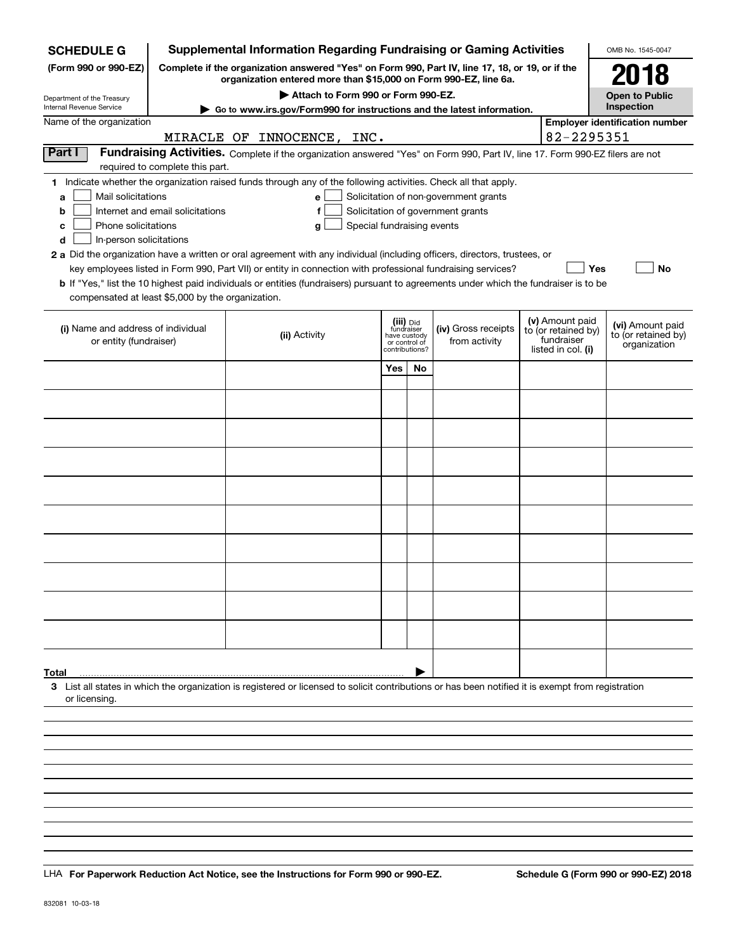| <b>SCHEDULE G</b>                                    |                                  | <b>Supplemental Information Regarding Fundraising or Gaming Activities</b>                                                                                          |                            |                         |                               |                                       |                                   |                 | OMB No. 1545-0047                     |  |
|------------------------------------------------------|----------------------------------|---------------------------------------------------------------------------------------------------------------------------------------------------------------------|----------------------------|-------------------------|-------------------------------|---------------------------------------|-----------------------------------|-----------------|---------------------------------------|--|
| (Form 990 or 990-EZ)                                 |                                  | Complete if the organization answered "Yes" on Form 990, Part IV, line 17, 18, or 19, or if the<br>organization entered more than \$15,000 on Form 990-EZ, line 6a. |                            |                         |                               |                                       |                                   |                 | 2018                                  |  |
| Department of the Treasury                           |                                  | Attach to Form 990 or Form 990-EZ.                                                                                                                                  |                            |                         |                               |                                       |                                   |                 | <b>Open to Public</b><br>Inspection   |  |
| Internal Revenue Service<br>Name of the organization |                                  | Go to www.irs.gov/Form990 for instructions and the latest information.                                                                                              |                            |                         |                               |                                       |                                   |                 | <b>Employer identification number</b> |  |
|                                                      |                                  | MIRACLE OF INNOCENCE, INC.                                                                                                                                          |                            |                         |                               |                                       |                                   | 82-2295351      |                                       |  |
| Part I                                               |                                  | Fundraising Activities. Complete if the organization answered "Yes" on Form 990, Part IV, line 17. Form 990-EZ filers are not                                       |                            |                         |                               |                                       |                                   |                 |                                       |  |
|                                                      | required to complete this part.  |                                                                                                                                                                     |                            |                         |                               |                                       |                                   |                 |                                       |  |
|                                                      |                                  | 1 Indicate whether the organization raised funds through any of the following activities. Check all that apply.                                                     |                            |                         |                               |                                       |                                   |                 |                                       |  |
| Mail solicitations<br>a                              |                                  | e                                                                                                                                                                   |                            |                         |                               | Solicitation of non-government grants |                                   |                 |                                       |  |
| b<br>Phone solicitations<br>c                        | Internet and email solicitations | f<br>g                                                                                                                                                              | Special fundraising events |                         |                               | Solicitation of government grants     |                                   |                 |                                       |  |
| In-person solicitations<br>d                         |                                  |                                                                                                                                                                     |                            |                         |                               |                                       |                                   |                 |                                       |  |
|                                                      |                                  | 2 a Did the organization have a written or oral agreement with any individual (including officers, directors, trustees, or                                          |                            |                         |                               |                                       |                                   |                 |                                       |  |
|                                                      |                                  | key employees listed in Form 990, Part VII) or entity in connection with professional fundraising services?                                                         |                            |                         |                               |                                       |                                   |                 | Yes<br>No                             |  |
|                                                      |                                  | <b>b</b> If "Yes," list the 10 highest paid individuals or entities (fundraisers) pursuant to agreements under which the fundraiser is to be                        |                            |                         |                               |                                       |                                   |                 |                                       |  |
| compensated at least \$5,000 by the organization.    |                                  |                                                                                                                                                                     |                            |                         |                               |                                       |                                   |                 |                                       |  |
| (i) Name and address of individual                   |                                  |                                                                                                                                                                     |                            | (iii) Did<br>fundraiser |                               | (iv) Gross receipts                   |                                   | (v) Amount paid | (vi) Amount paid                      |  |
| or entity (fundraiser)                               |                                  | (ii) Activity                                                                                                                                                       |                            |                         | have custody<br>or control of | from activity                         | to (or retained by)<br>fundraiser |                 | to (or retained by)<br>organization   |  |
|                                                      |                                  |                                                                                                                                                                     |                            | contributions?          |                               |                                       | listed in col. (i)                |                 |                                       |  |
|                                                      |                                  |                                                                                                                                                                     |                            | Yes                     | <b>No</b>                     |                                       |                                   |                 |                                       |  |
|                                                      |                                  |                                                                                                                                                                     |                            |                         |                               |                                       |                                   |                 |                                       |  |
|                                                      |                                  |                                                                                                                                                                     |                            |                         |                               |                                       |                                   |                 |                                       |  |
|                                                      |                                  |                                                                                                                                                                     |                            |                         |                               |                                       |                                   |                 |                                       |  |
|                                                      |                                  |                                                                                                                                                                     |                            |                         |                               |                                       |                                   |                 |                                       |  |
|                                                      |                                  |                                                                                                                                                                     |                            |                         |                               |                                       |                                   |                 |                                       |  |
|                                                      |                                  |                                                                                                                                                                     |                            |                         |                               |                                       |                                   |                 |                                       |  |
|                                                      |                                  |                                                                                                                                                                     |                            |                         |                               |                                       |                                   |                 |                                       |  |
|                                                      |                                  |                                                                                                                                                                     |                            |                         |                               |                                       |                                   |                 |                                       |  |
|                                                      |                                  |                                                                                                                                                                     |                            |                         |                               |                                       |                                   |                 |                                       |  |
|                                                      |                                  |                                                                                                                                                                     |                            |                         |                               |                                       |                                   |                 |                                       |  |
|                                                      |                                  |                                                                                                                                                                     |                            |                         |                               |                                       |                                   |                 |                                       |  |
|                                                      |                                  |                                                                                                                                                                     |                            |                         |                               |                                       |                                   |                 |                                       |  |
|                                                      |                                  |                                                                                                                                                                     |                            |                         |                               |                                       |                                   |                 |                                       |  |
|                                                      |                                  |                                                                                                                                                                     |                            |                         |                               |                                       |                                   |                 |                                       |  |
|                                                      |                                  |                                                                                                                                                                     |                            |                         |                               |                                       |                                   |                 |                                       |  |
|                                                      |                                  |                                                                                                                                                                     |                            |                         |                               |                                       |                                   |                 |                                       |  |
| Total                                                |                                  |                                                                                                                                                                     |                            |                         |                               |                                       |                                   |                 |                                       |  |
|                                                      |                                  | 3 List all states in which the organization is registered or licensed to solicit contributions or has been notified it is exempt from registration                  |                            |                         |                               |                                       |                                   |                 |                                       |  |
| or licensing                                         |                                  |                                                                                                                                                                     |                            |                         |                               |                                       |                                   |                 |                                       |  |
|                                                      |                                  |                                                                                                                                                                     |                            |                         |                               |                                       |                                   |                 |                                       |  |
|                                                      |                                  |                                                                                                                                                                     |                            |                         |                               |                                       |                                   |                 |                                       |  |
|                                                      |                                  |                                                                                                                                                                     |                            |                         |                               |                                       |                                   |                 |                                       |  |
|                                                      |                                  |                                                                                                                                                                     |                            |                         |                               |                                       |                                   |                 |                                       |  |

LHA For Paperwork Reduction Act Notice, see the Instructions for Form 990 or 990-EZ. Schedule G (Form 990 or 990-EZ) 2018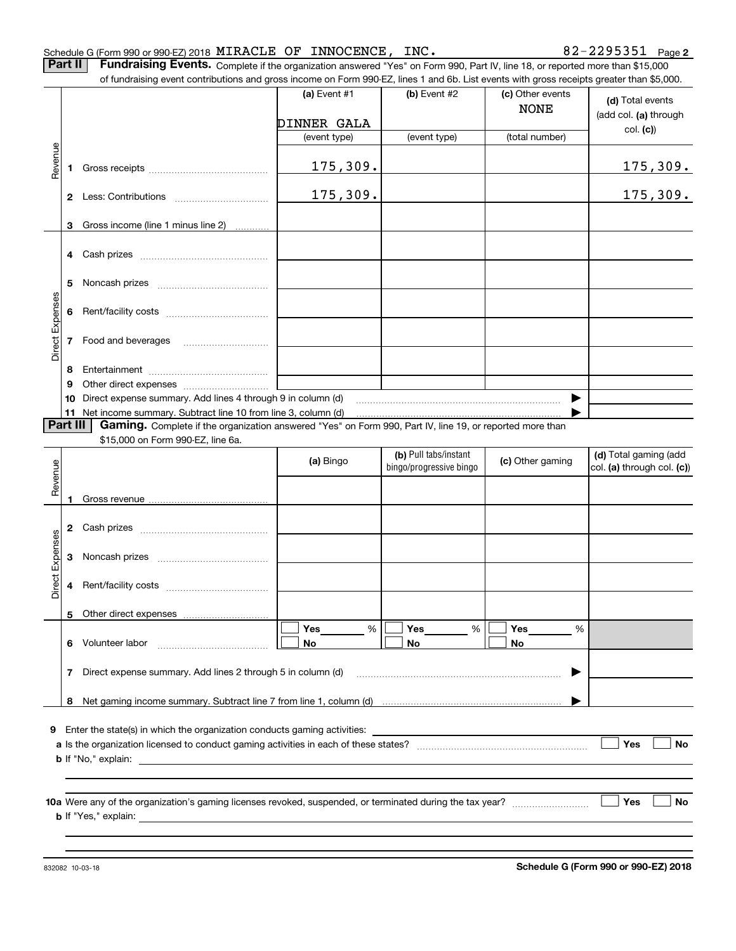| Schedule G (Form 990 or 990-EZ) 2018 MIRACLE OF INNOCENCE, |  | INC. | $82 - 2295351$ Page 2 |  |
|------------------------------------------------------------|--|------|-----------------------|--|
|                                                            |  |      |                       |  |

**Part II** | Fundraising Events. Complete if the organization answered "Yes" on Form 990, Part IV, line 18, or reported more than \$15,000

|                 |          | of fundraising event contributions and gross income on Form 990-EZ, lines 1 and 6b. List events with gross receipts greater than \$5,000. |                             |                                                  |                  |                                                     |
|-----------------|----------|-------------------------------------------------------------------------------------------------------------------------------------------|-----------------------------|--------------------------------------------------|------------------|-----------------------------------------------------|
|                 |          |                                                                                                                                           | (a) Event #1                | $(b)$ Event #2                                   | (c) Other events | (d) Total events                                    |
|                 |          |                                                                                                                                           |                             |                                                  | <b>NONE</b>      | (add col. (a) through                               |
|                 |          |                                                                                                                                           | DINNER GALA<br>(event type) |                                                  | (total number)   | col. (c)                                            |
|                 |          |                                                                                                                                           |                             | (event type)                                     |                  |                                                     |
| Revenue         |          |                                                                                                                                           | 175,309.                    |                                                  |                  | 175,309.                                            |
|                 |          |                                                                                                                                           |                             |                                                  |                  |                                                     |
|                 |          |                                                                                                                                           | 175,309.                    |                                                  |                  | 175,309.                                            |
|                 |          |                                                                                                                                           |                             |                                                  |                  |                                                     |
|                 |          | 3 Gross income (line 1 minus line 2)                                                                                                      |                             |                                                  |                  |                                                     |
|                 |          |                                                                                                                                           |                             |                                                  |                  |                                                     |
|                 |          |                                                                                                                                           |                             |                                                  |                  |                                                     |
|                 |          |                                                                                                                                           |                             |                                                  |                  |                                                     |
|                 | 5        |                                                                                                                                           |                             |                                                  |                  |                                                     |
|                 |          |                                                                                                                                           |                             |                                                  |                  |                                                     |
| Direct Expenses |          |                                                                                                                                           |                             |                                                  |                  |                                                     |
|                 |          |                                                                                                                                           |                             |                                                  |                  |                                                     |
|                 |          |                                                                                                                                           |                             |                                                  |                  |                                                     |
|                 | 8        |                                                                                                                                           |                             |                                                  |                  |                                                     |
|                 | 9        |                                                                                                                                           |                             |                                                  |                  |                                                     |
|                 | 10       | Direct expense summary. Add lines 4 through 9 in column (d)                                                                               |                             |                                                  |                  |                                                     |
|                 |          |                                                                                                                                           |                             |                                                  |                  |                                                     |
|                 | Part III | Gaming. Complete if the organization answered "Yes" on Form 990, Part IV, line 19, or reported more than                                  |                             |                                                  |                  |                                                     |
|                 |          | \$15,000 on Form 990-EZ, line 6a.                                                                                                         |                             |                                                  |                  |                                                     |
|                 |          |                                                                                                                                           | (a) Bingo                   | (b) Pull tabs/instant<br>bingo/progressive bingo | (c) Other gaming | (d) Total gaming (add<br>col. (a) through col. (c)) |
| Revenue         |          |                                                                                                                                           |                             |                                                  |                  |                                                     |
|                 |          |                                                                                                                                           |                             |                                                  |                  |                                                     |
|                 |          |                                                                                                                                           |                             |                                                  |                  |                                                     |
|                 |          |                                                                                                                                           |                             |                                                  |                  |                                                     |
|                 |          |                                                                                                                                           |                             |                                                  |                  |                                                     |
| Direct Expenses |          |                                                                                                                                           |                             |                                                  |                  |                                                     |
|                 |          |                                                                                                                                           |                             |                                                  |                  |                                                     |
|                 |          |                                                                                                                                           |                             |                                                  |                  |                                                     |
|                 |          |                                                                                                                                           |                             |                                                  |                  |                                                     |
|                 |          | Other direct expenses                                                                                                                     |                             |                                                  |                  |                                                     |
|                 |          | 6 Volunteer labor                                                                                                                         | $\%$<br>Yes                 | Yes<br>%                                         | <b>Yes</b><br>%  |                                                     |
|                 |          |                                                                                                                                           | No                          | No                                               | No               |                                                     |
|                 | 7        | Direct expense summary. Add lines 2 through 5 in column (d)                                                                               |                             |                                                  |                  |                                                     |
|                 |          |                                                                                                                                           |                             |                                                  |                  |                                                     |
|                 | 8        |                                                                                                                                           |                             |                                                  |                  |                                                     |
|                 |          |                                                                                                                                           |                             |                                                  |                  |                                                     |
| 9               |          | Enter the state(s) in which the organization conducts gaming activities:                                                                  |                             |                                                  |                  |                                                     |
|                 |          |                                                                                                                                           |                             |                                                  |                  | Yes<br>No                                           |
|                 |          | <b>b</b> If "No," explain:                                                                                                                |                             |                                                  |                  |                                                     |
|                 |          |                                                                                                                                           |                             |                                                  |                  |                                                     |
|                 |          | 10a Were any of the organization's gaming licenses revoked, suspended, or terminated during the tax year?                                 |                             |                                                  |                  | <b>Yes</b><br>No                                    |
|                 |          |                                                                                                                                           |                             |                                                  |                  |                                                     |

**b** If "Yes," explain: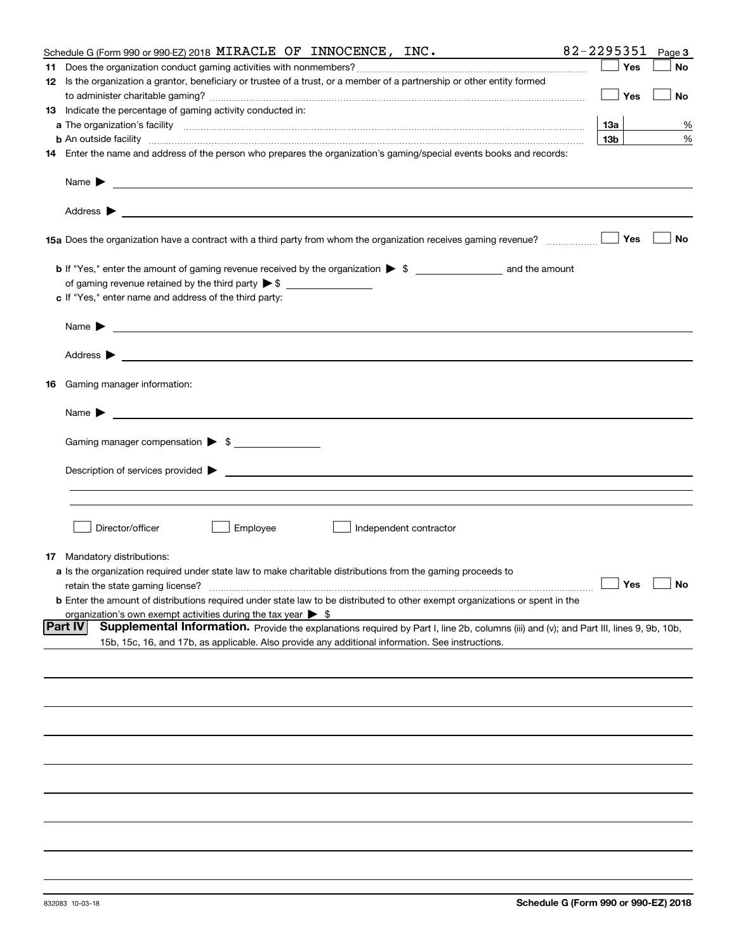|    | Schedule G (Form 990 or 990-EZ) 2018 MIRACLE OF INNOCENCE, INC.                                                                                                                                                                                                                                                                                                                                  | 82-2295351      | Page 3 |
|----|--------------------------------------------------------------------------------------------------------------------------------------------------------------------------------------------------------------------------------------------------------------------------------------------------------------------------------------------------------------------------------------------------|-----------------|--------|
|    |                                                                                                                                                                                                                                                                                                                                                                                                  | Yes             | No     |
|    | 12 Is the organization a grantor, beneficiary or trustee of a trust, or a member of a partnership or other entity formed                                                                                                                                                                                                                                                                         |                 |        |
|    |                                                                                                                                                                                                                                                                                                                                                                                                  | Yes             | No     |
|    | <b>13</b> Indicate the percentage of gaming activity conducted in:                                                                                                                                                                                                                                                                                                                               |                 |        |
|    |                                                                                                                                                                                                                                                                                                                                                                                                  | 13а             | %      |
|    | <b>b</b> An outside facility <i>www.communically.communically.communically.communically.communically.communically.communically.communically.communically.communically.communically.communically.communically.communically.communicall</i>                                                                                                                                                        | 13 <sub>b</sub> | %      |
|    | 14 Enter the name and address of the person who prepares the organization's gaming/special events books and records:                                                                                                                                                                                                                                                                             |                 |        |
|    | Name $\blacktriangleright$                                                                                                                                                                                                                                                                                                                                                                       |                 |        |
|    | <u>state and the state of the state of the state of the state of the state of the state of the state of the state of the state of the state of the state of the state of the state of the state of the state of the state of the</u><br>Address $\blacktriangleright$<br><u>some started and the started and the started and the started and the started and the started and the started and</u> |                 |        |
|    | 15a Does the organization have a contract with a third party from whom the organization receives gaming revenue?                                                                                                                                                                                                                                                                                 | Yes             | No     |
|    |                                                                                                                                                                                                                                                                                                                                                                                                  |                 |        |
|    |                                                                                                                                                                                                                                                                                                                                                                                                  |                 |        |
|    |                                                                                                                                                                                                                                                                                                                                                                                                  |                 |        |
|    | c If "Yes," enter name and address of the third party:                                                                                                                                                                                                                                                                                                                                           |                 |        |
|    | Name $\blacktriangleright$                                                                                                                                                                                                                                                                                                                                                                       |                 |        |
|    | Address $\blacktriangleright$                                                                                                                                                                                                                                                                                                                                                                    |                 |        |
| 16 | Gaming manager information:                                                                                                                                                                                                                                                                                                                                                                      |                 |        |
|    | Name $\blacktriangleright$                                                                                                                                                                                                                                                                                                                                                                       |                 |        |
|    | Gaming manager compensation > \$                                                                                                                                                                                                                                                                                                                                                                 |                 |        |
|    |                                                                                                                                                                                                                                                                                                                                                                                                  |                 |        |
|    | Description of services provided >                                                                                                                                                                                                                                                                                                                                                               |                 |        |
|    |                                                                                                                                                                                                                                                                                                                                                                                                  |                 |        |
|    |                                                                                                                                                                                                                                                                                                                                                                                                  |                 |        |
|    |                                                                                                                                                                                                                                                                                                                                                                                                  |                 |        |
|    | Director/officer<br>Employee<br>Independent contractor                                                                                                                                                                                                                                                                                                                                           |                 |        |
|    |                                                                                                                                                                                                                                                                                                                                                                                                  |                 |        |
| 17 | Mandatory distributions:                                                                                                                                                                                                                                                                                                                                                                         |                 |        |
|    | a Is the organization required under state law to make charitable distributions from the gaming proceeds to                                                                                                                                                                                                                                                                                      |                 |        |
|    | retain the state gaming license?                                                                                                                                                                                                                                                                                                                                                                 | $\Box$ Yes      |        |
|    | <b>b</b> Enter the amount of distributions required under state law to be distributed to other exempt organizations or spent in the                                                                                                                                                                                                                                                              |                 |        |
|    | organization's own exempt activities during the tax year $\triangleright$ \$                                                                                                                                                                                                                                                                                                                     |                 |        |
|    | <b>Part IV</b><br>Supplemental Information. Provide the explanations required by Part I, line 2b, columns (iii) and (v); and Part III, lines 9, 9b, 10b,                                                                                                                                                                                                                                         |                 |        |
|    | 15b, 15c, 16, and 17b, as applicable. Also provide any additional information. See instructions.                                                                                                                                                                                                                                                                                                 |                 |        |
|    |                                                                                                                                                                                                                                                                                                                                                                                                  |                 |        |
|    |                                                                                                                                                                                                                                                                                                                                                                                                  |                 |        |
|    |                                                                                                                                                                                                                                                                                                                                                                                                  |                 |        |
|    |                                                                                                                                                                                                                                                                                                                                                                                                  |                 |        |
|    |                                                                                                                                                                                                                                                                                                                                                                                                  |                 |        |
|    |                                                                                                                                                                                                                                                                                                                                                                                                  |                 |        |
|    |                                                                                                                                                                                                                                                                                                                                                                                                  |                 |        |
|    |                                                                                                                                                                                                                                                                                                                                                                                                  |                 |        |
|    |                                                                                                                                                                                                                                                                                                                                                                                                  |                 |        |
|    |                                                                                                                                                                                                                                                                                                                                                                                                  |                 |        |
|    |                                                                                                                                                                                                                                                                                                                                                                                                  |                 |        |
|    |                                                                                                                                                                                                                                                                                                                                                                                                  |                 |        |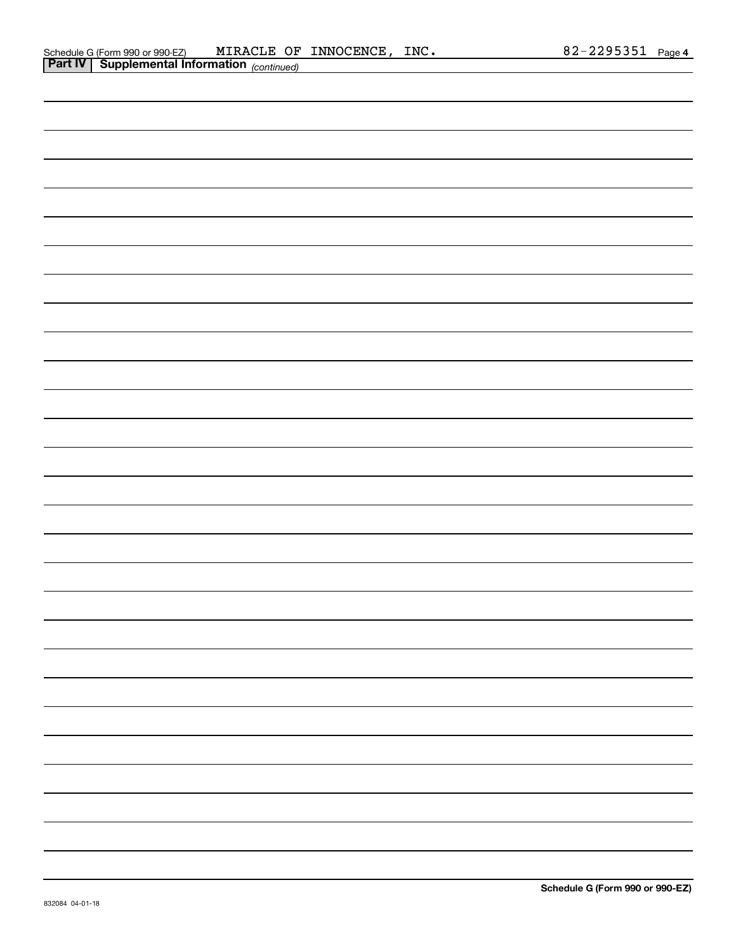| <b>Part IV   Supplemental Information (CONTIAGO)</b> |
|------------------------------------------------------|
|                                                      |
|                                                      |
|                                                      |
|                                                      |
|                                                      |
|                                                      |
|                                                      |
|                                                      |
|                                                      |
|                                                      |
|                                                      |
|                                                      |
|                                                      |
|                                                      |
|                                                      |
|                                                      |
|                                                      |
|                                                      |
|                                                      |
|                                                      |
|                                                      |
|                                                      |
|                                                      |
|                                                      |
|                                                      |
|                                                      |
|                                                      |
|                                                      |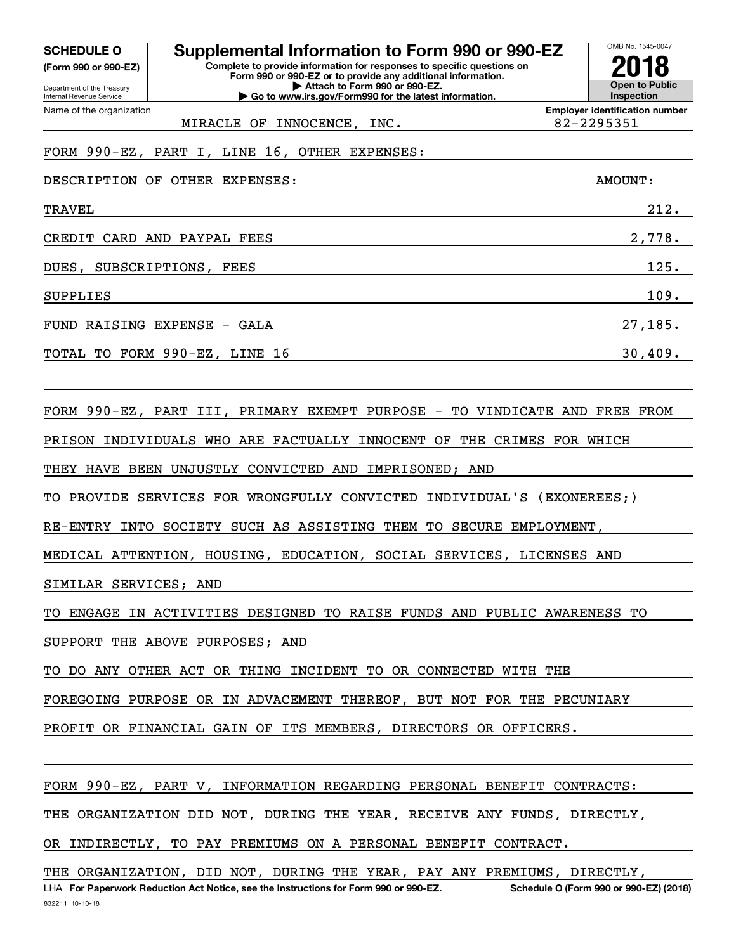**(Form 990 or 990-EZ)**

Department of the Treasury Internal Revenue Service Name of the organization

# **SCHEDULE O Supplemental Information to Form 990 or 990-EZ**

**Complete to provide information for responses to specific questions on Form 990 or 990-EZ or to provide any additional information. | Attach to Form 990 or 990-EZ. | Go to www.irs.gov/Form990 for the latest information.**

OMB No. 1545-0047 **Open to Public InspectionEmployer identification number 2018**

MIRACLE OF INNOCENCE, INC. | 82-2295351

## FORM 990-EZ, PART I, LINE 16, OTHER EXPENSES:

| DESCRIPTION OF OTHER EXPENSES:      | AMOUNT: |
|-------------------------------------|---------|
| TRAVEL                              | 212.    |
| CREDIT CARD AND PAYPAL FEES         | 2,778.  |
| SUBSCRIPTIONS, FEES<br>DUES,        | 125.    |
| <b>SUPPLIES</b>                     | 109.    |
| FUND RAISING EXPENSE<br>GALA<br>$-$ | 27,185. |
| TOTAL TO FORM 990-EZ, LINE 16       | 30,409. |
|                                     |         |

FORM 990-EZ, PART III, PRIMARY EXEMPT PURPOSE - TO VINDICATE AND FREE FROM

PRISON INDIVIDUALS WHO ARE FACTUALLY INNOCENT OF THE CRIMES FOR WHICH

THEY HAVE BEEN UNJUSTLY CONVICTED AND IMPRISONED; AND

TO PROVIDE SERVICES FOR WRONGFULLY CONVICTED INDIVIDUAL'S (EXONEREES;)

RE-ENTRY INTO SOCIETY SUCH AS ASSISTING THEM TO SECURE EMPLOYMENT,

MEDICAL ATTENTION, HOUSING, EDUCATION, SOCIAL SERVICES, LICENSES AND

SIMILAR SERVICES; AND

TO ENGAGE IN ACTIVITIES DESIGNED TO RAISE FUNDS AND PUBLIC AWARENESS TO

SUPPORT THE ABOVE PURPOSES; AND

TO DO ANY OTHER ACT OR THING INCIDENT TO OR CONNECTED WITH THE

FOREGOING PURPOSE OR IN ADVACEMENT THEREOF, BUT NOT FOR THE PECUNIARY

PROFIT OR FINANCIAL GAIN OF ITS MEMBERS, DIRECTORS OR OFFICERS.

FORM 990-EZ, PART V, INFORMATION REGARDING PERSONAL BENEFIT CONTRACTS:

THE ORGANIZATION DID NOT, DURING THE YEAR, RECEIVE ANY FUNDS, DIRECTLY,

OR INDIRECTLY, TO PAY PREMIUMS ON A PERSONAL BENEFIT CONTRACT.

THE ORGANIZATION, DID NOT, DURING THE YEAR, PAY ANY PREMIUMS, DIRECTLY,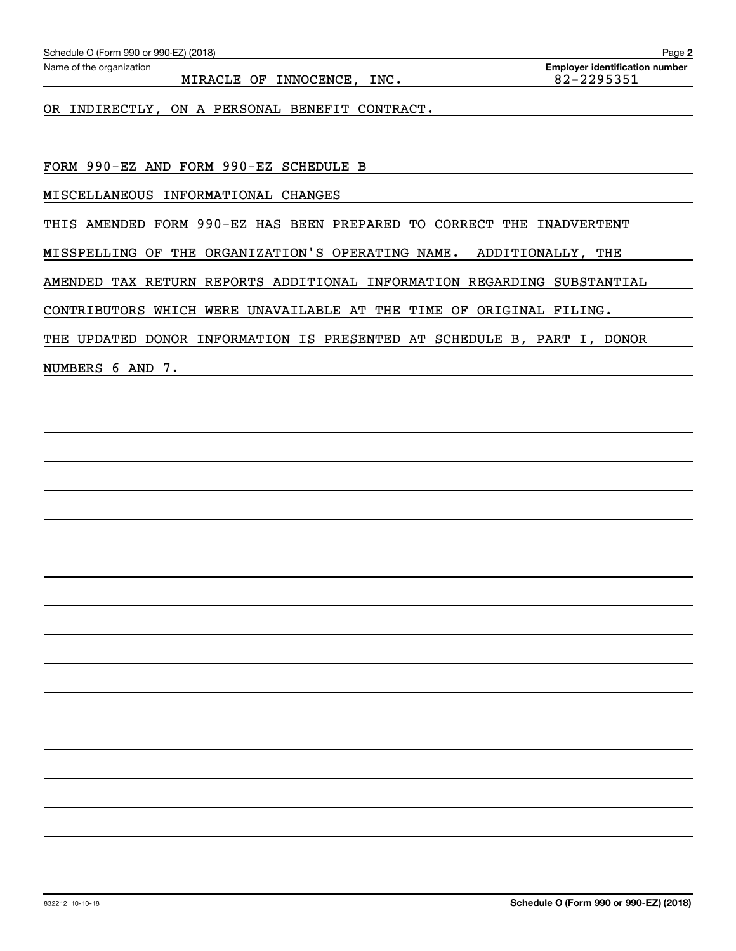OR INDIRECTLY, ON A PERSONAL BENEFIT CONTRACT.

FORM 990-EZ AND FORM 990-EZ SCHEDULE B

MISCELLANEOUS INFORMATIONAL CHANGES

THIS AMENDED FORM 990-EZ HAS BEEN PREPARED TO CORRECT THE INADVERTENT

MISSPELLING OF THE ORGANIZATION'S OPERATING NAME. ADDITIONALLY, THE

AMENDED TAX RETURN REPORTS ADDITIONAL INFORMATION REGARDING SUBSTANTIAL

CONTRIBUTORS WHICH WERE UNAVAILABLE AT THE TIME OF ORIGINAL FILING.

THE UPDATED DONOR INFORMATION IS PRESENTED AT SCHEDULE B, PART I, DONOR

NUMBERS 6 AND 7.